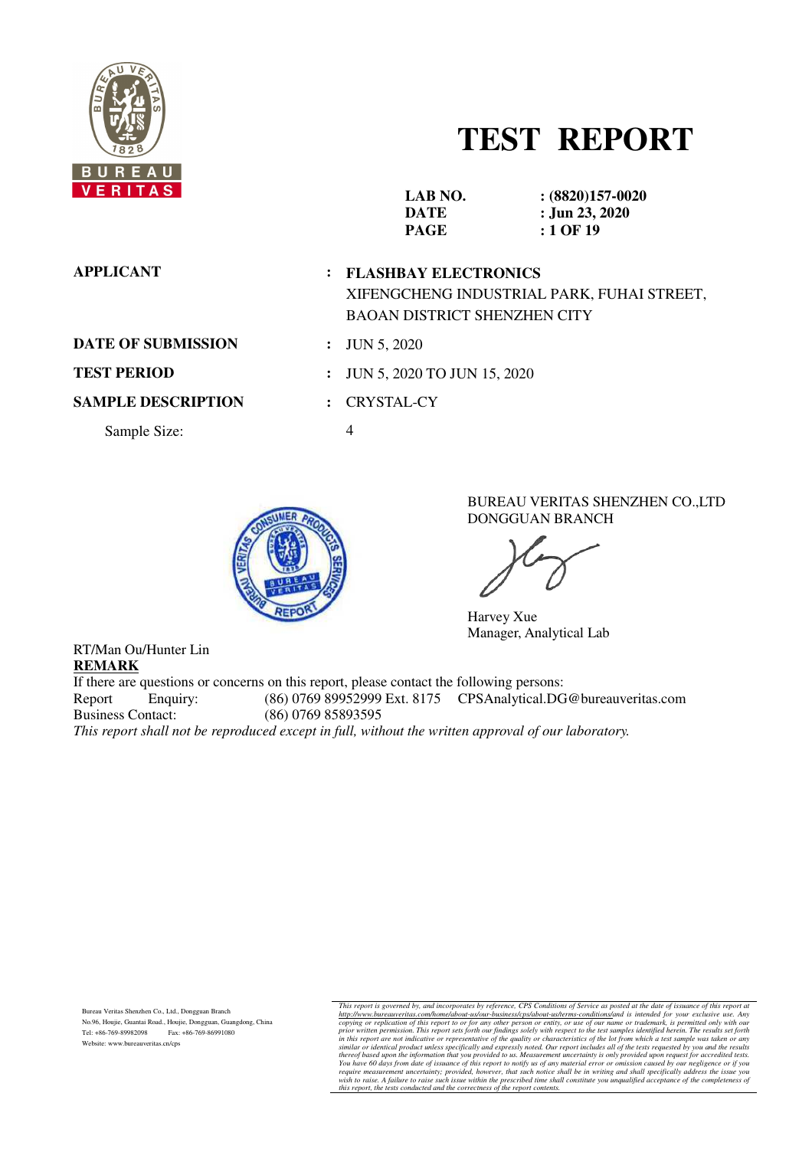

# **TEST REPORT**

| V E N I I A S             |   | LAB NO.<br><b>DATE</b><br><b>PAGE</b>                         | $(8820)157-0020$<br>: Jun 23, 2020<br>$:1$ OF 19 |
|---------------------------|---|---------------------------------------------------------------|--------------------------------------------------|
| <b>APPLICANT</b>          |   | : FLASHBAY ELECTRONICS<br><b>BAOAN DISTRICT SHENZHEN CITY</b> | XIFENGCHENG INDUSTRIAL PARK, FUHAI STREET,       |
| <b>DATE OF SUBMISSION</b> |   | <b>JUN 5, 2020</b>                                            |                                                  |
| <b>TEST PERIOD</b>        |   | <b>JUN 5, 2020 TO JUN 15, 2020</b>                            |                                                  |
| <b>SAMPLE DESCRIPTION</b> |   | <b>CRYSTAL-CY</b>                                             |                                                  |
| Sample Size:              | 4 |                                                               |                                                  |
|                           |   |                                                               |                                                  |



BUREAU VERITAS SHENZHEN CO.,LTD DONGGUAN BRANCH

Harvey Xue Manager, Analytical Lab

RT/Man Ou/Hunter Lin **REMARK** 

If there are questions or concerns on this report, please contact the following persons: Report Enquiry: (86) 0769 89952999 Ext. 8175 CPSAnalytical.DG@bureauveritas.com<br>Business Contact: (86) 0769 85893595 Business Contact: (86) 0769 85893595 *This report shall not be reproduced except in full, without the written approval of our laboratory.* 

Bureau Veritas Shenzhen Co., Ltd., Dongguan Branch No.96, Houjie, Guantai Road., Houjie, Dongguan, Guangdong, China Tel: +86-769-89982098 Fax: +86-769-86991080 Website: www.bureauveritas.cn/cps

This report is governed by, and incorporates by reference, CPS Conditions of Service as posted at the date of issuance of this report at the cocyjning or replication of this report to or for any other person or entity, or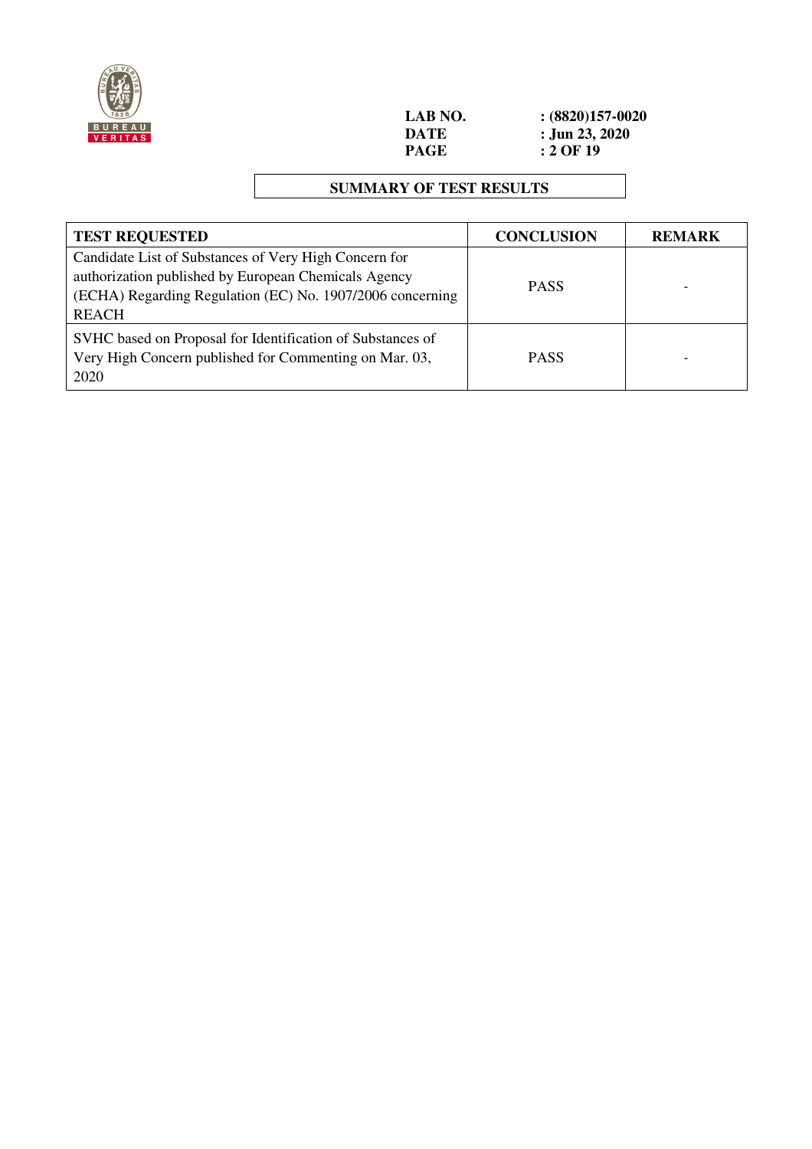

**LAB NO.** <br>**:** (8820)157-0020<br>**DATE :** Jun 23, 2020 **DATE** : **Jun 23, 2020**<br>**PAGE** : **2 OF 19**  $\frac{1}{2}$  OF 19

## **SUMMARY OF TEST RESULTS**

| <b>TEST REQUESTED</b>                                                                                                                                                                      | <b>CONCLUSION</b> | <b>REMARK</b> |
|--------------------------------------------------------------------------------------------------------------------------------------------------------------------------------------------|-------------------|---------------|
| Candidate List of Substances of Very High Concern for<br>authorization published by European Chemicals Agency<br>(ECHA) Regarding Regulation (EC) No. 1907/2006 concerning<br><b>REACH</b> | <b>PASS</b>       |               |
| SVHC based on Proposal for Identification of Substances of<br>Very High Concern published for Commenting on Mar. 03,<br>2020                                                               | <b>PASS</b>       |               |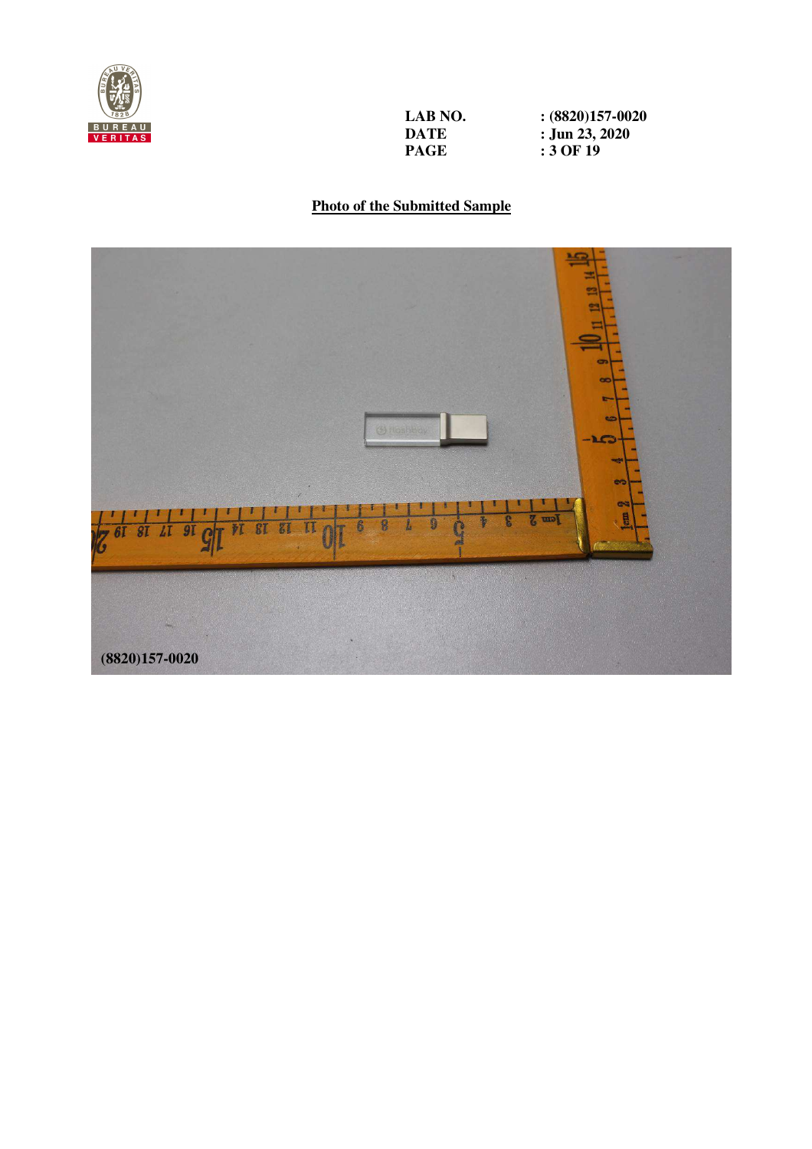

**LAB NO.** <br>**:** (8820)157-0020<br>**DATE :** Jun 23, 2020 **DATE** : **Jun 23, 2020**<br>**PAGE** : 3 OF 19

**PAGE : 3 OF 19** 

## **Photo of the Submitted Sample**

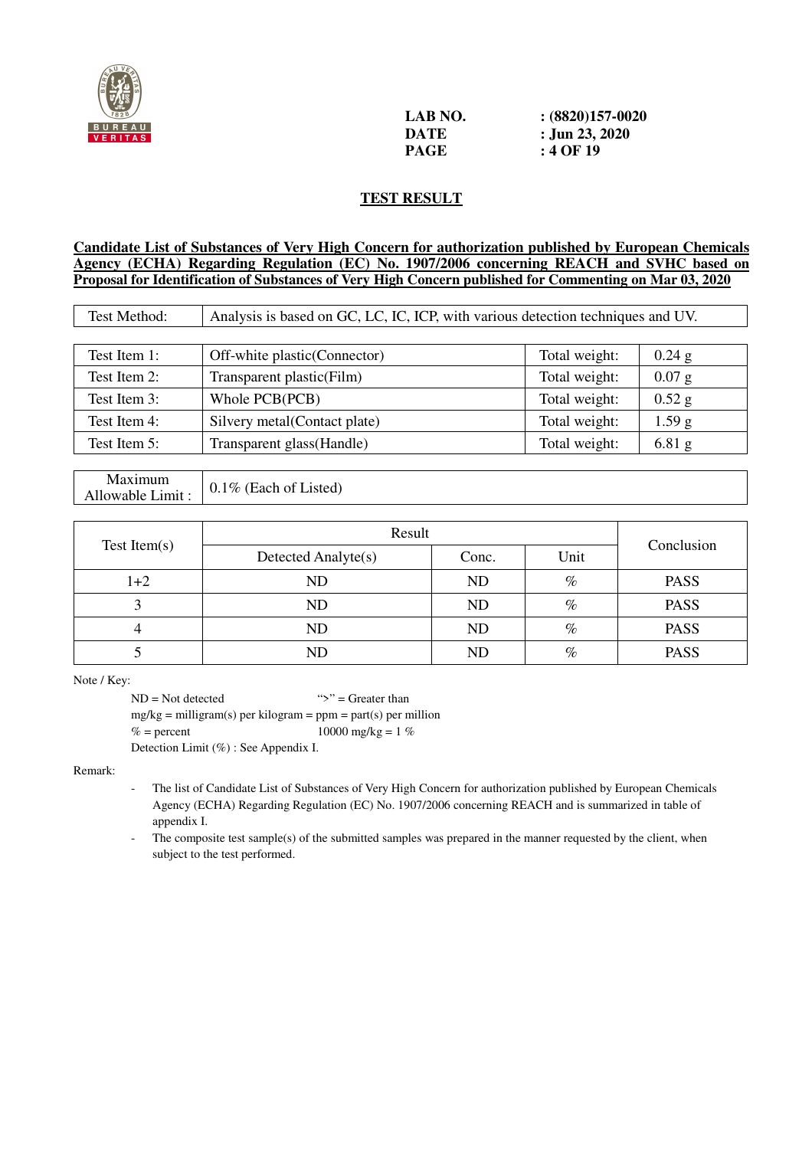

| LAB NO. | $(8820)157-0020$ |
|---------|------------------|
| DATE    | : Jun 23, 2020   |
| PAGE    | : 4 OF 19        |

## **TEST RESULT**

## **Candidate List of Substances of Very High Concern for authorization published by European Chemicals Agency (ECHA) Regarding Regulation (EC) No. 1907/2006 concerning REACH and SVHC based on Proposal for Identification of Substances of Very High Concern published for Commenting on Mar 03, 2020**

| Test Method: | Analysis is based on GC, LC, IC, ICP, with various detection techniques and UV. |               |                   |  |  |  |
|--------------|---------------------------------------------------------------------------------|---------------|-------------------|--|--|--|
|              |                                                                                 |               |                   |  |  |  |
| Test Item 1: | Off-white plastic (Connector)                                                   | Total weight: | $0.24$ g          |  |  |  |
| Test Item 2: | Transparent plastic(Film)                                                       | Total weight: | $0.07$ g          |  |  |  |
| Test Item 3: | Whole PCB(PCB)                                                                  | Total weight: | $0.52$ g          |  |  |  |
| Test Item 4: | Silvery metal(Contact plate)                                                    | Total weight: | 1.59 <sub>g</sub> |  |  |  |
| Test Item 5: | Transparent glass(Handle)<br>Total weight:<br>$6.81$ g                          |               |                   |  |  |  |

### Maximum Maximum<br>Allowable Limit :  $\Big| 0.1\%$  (Each of Listed)

|              | Result              | Conclusion |      |             |
|--------------|---------------------|------------|------|-------------|
| Test Item(s) | Detected Analyte(s) | Conc.      | Unit |             |
| $1+2$        | <b>ND</b>           | <b>ND</b>  | $\%$ | <b>PASS</b> |
|              | ND                  | ND         | $\%$ | <b>PASS</b> |
|              | ND                  | ND         | $\%$ | <b>PASS</b> |
|              | $\rm{ND}$           | ND         | $\%$ | <b>PASS</b> |

Note / Key:

 $ND = Not detected$  ">" = Greater than  $mg/kg =$  milligram(s) per kilogram = ppm = part(s) per million  $% =$  percent 10000 mg/kg = 1 % Detection Limit (%) : See Appendix I.

Remark:

 - The list of Candidate List of Substances of Very High Concern for authorization published by European Chemicals Agency (ECHA) Regarding Regulation (EC) No. 1907/2006 concerning REACH and is summarized in table of appendix I.

The composite test sample(s) of the submitted samples was prepared in the manner requested by the client, when subject to the test performed.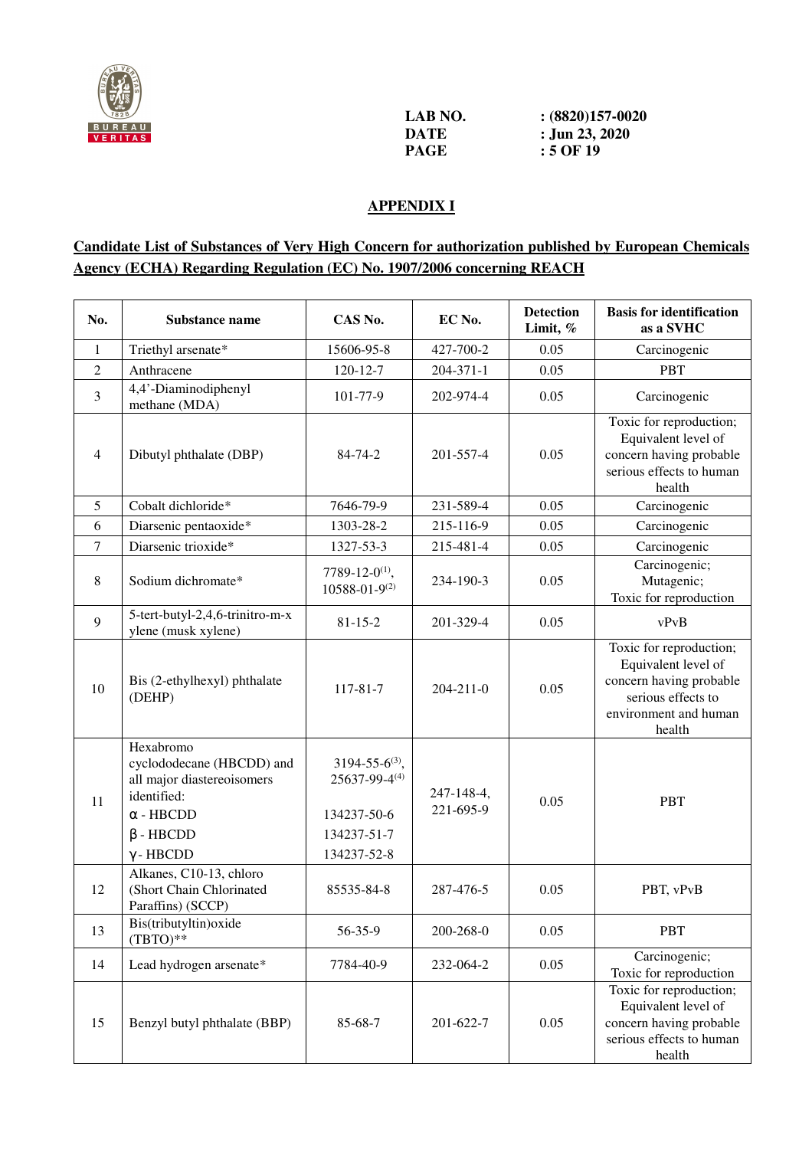

| LAB NO. | $(8820)157-0020$ |
|---------|------------------|
| DATE    | : Jun 23, 2020   |
| PAGE    | $:5$ OF 19       |

## **APPENDIX I**

## **Candidate List of Substances of Very High Concern for authorization published by European Chemicals Agency (ECHA) Regarding Regulation (EC) No. 1907/2006 concerning REACH**

| No.            | Substance name                                                                                                                                 | CAS No.                                                                                     | EC No.                  | <b>Detection</b><br>Limit, % | <b>Basis for identification</b><br>as a SVHC                                                                                       |
|----------------|------------------------------------------------------------------------------------------------------------------------------------------------|---------------------------------------------------------------------------------------------|-------------------------|------------------------------|------------------------------------------------------------------------------------------------------------------------------------|
| 1              | Triethyl arsenate*                                                                                                                             | 15606-95-8                                                                                  | 427-700-2               | 0.05                         | Carcinogenic                                                                                                                       |
| $\overline{c}$ | Anthracene                                                                                                                                     | $120 - 12 - 7$                                                                              | $204 - 371 - 1$         | 0.05                         | <b>PBT</b>                                                                                                                         |
| 3              | 4,4'-Diaminodiphenyl<br>methane (MDA)                                                                                                          | 101-77-9                                                                                    | 202-974-4               | 0.05                         | Carcinogenic                                                                                                                       |
| $\overline{4}$ | Dibutyl phthalate (DBP)                                                                                                                        | $84 - 74 - 2$                                                                               | 201-557-4               | 0.05                         | Toxic for reproduction;<br>Equivalent level of<br>concern having probable<br>serious effects to human<br>health                    |
| 5              | Cobalt dichloride*                                                                                                                             | 7646-79-9                                                                                   | 231-589-4               | 0.05                         | Carcinogenic                                                                                                                       |
| 6              | Diarsenic pentaoxide*                                                                                                                          | 1303-28-2                                                                                   | 215-116-9               | 0.05                         | Carcinogenic                                                                                                                       |
| 7              | Diarsenic trioxide*                                                                                                                            | 1327-53-3                                                                                   | 215-481-4               | 0.05                         | Carcinogenic                                                                                                                       |
| 8              | Sodium dichromate*                                                                                                                             | 7789-12-0 <sup>(1)</sup> ,<br>$10588 - 01 - 9^{(2)}$                                        | 234-190-3               | 0.05                         | Carcinogenic;<br>Mutagenic;<br>Toxic for reproduction                                                                              |
| 9              | 5-tert-butyl-2,4,6-trinitro-m-x<br>ylene (musk xylene)                                                                                         | $81 - 15 - 2$                                                                               | 201-329-4               | 0.05                         | vPvB                                                                                                                               |
| 10             | Bis (2-ethylhexyl) phthalate<br>(DEHP)                                                                                                         | 117-81-7                                                                                    | $204 - 211 - 0$         | 0.05                         | Toxic for reproduction;<br>Equivalent level of<br>concern having probable<br>serious effects to<br>environment and human<br>health |
| 11             | Hexabromo<br>cyclododecane (HBCDD) and<br>all major diastereoisomers<br>identified:<br>$\alpha$ - HBCDD<br>$\beta$ - HBCDD<br>$\gamma$ - HBCDD | $3194 - 55 - 6^{(3)}$ ,<br>$25637 - 99 - 4(4)$<br>134237-50-6<br>134237-51-7<br>134237-52-8 | 247-148-4,<br>221-695-9 | 0.05                         | <b>PBT</b>                                                                                                                         |
| 12             | Alkanes, C10-13, chloro<br>(Short Chain Chlorinated<br>Paraffins) (SCCP)                                                                       | 85535-84-8                                                                                  | 287-476-5               | 0.05                         | PBT, vPvB                                                                                                                          |
| 13             | Bis(tributyltin) oxide<br>$(TBTO)**$                                                                                                           | 56-35-9                                                                                     | 200-268-0               | 0.05                         | <b>PBT</b>                                                                                                                         |
| 14             | Lead hydrogen arsenate*                                                                                                                        | 7784-40-9                                                                                   | 232-064-2               | 0.05                         | Carcinogenic;<br>Toxic for reproduction                                                                                            |
| 15             | Benzyl butyl phthalate (BBP)                                                                                                                   | 85-68-7                                                                                     | 201-622-7               | 0.05                         | Toxic for reproduction;<br>Equivalent level of<br>concern having probable<br>serious effects to human<br>health                    |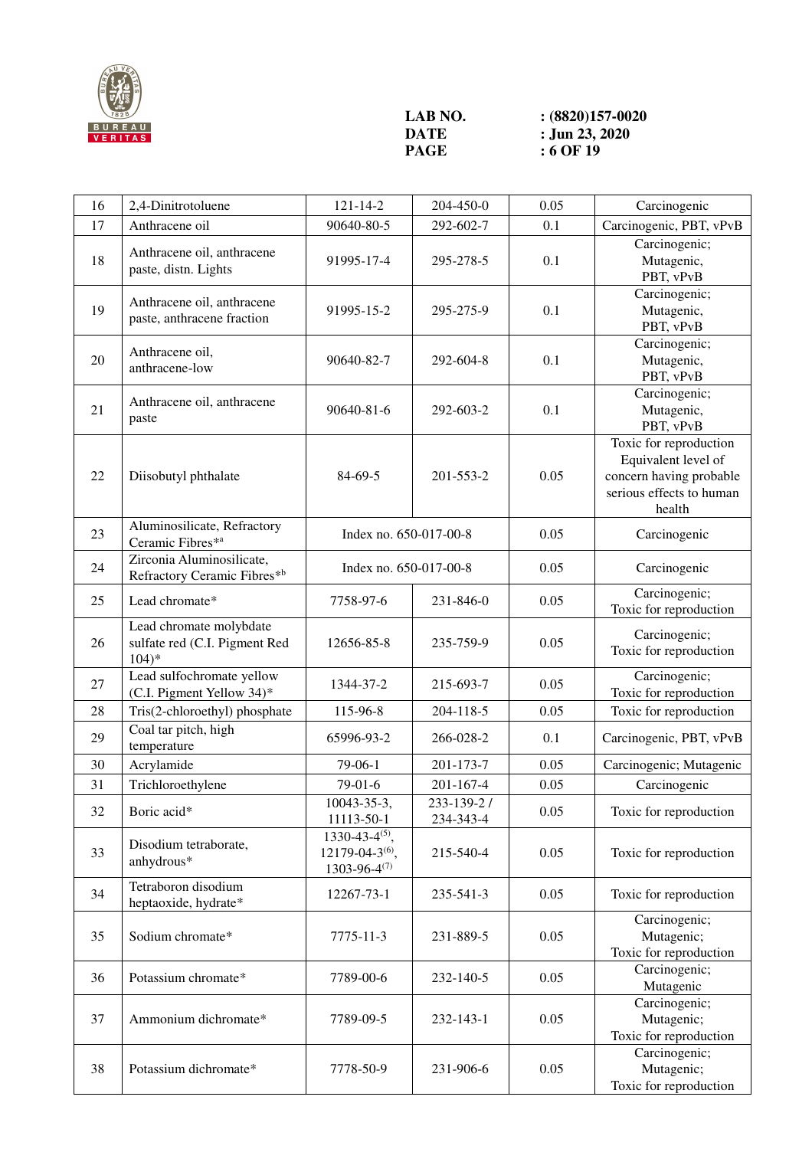

## **LAB NO.** <br>**:** (8820)157-0020<br>**DATE :** Jun 23, 2020 **DATE** : **Jun 23, 2020**<br>**PAGE** : **6 OF 19**

**9 Page 19** 

| 16 | 2,4-Dinitrotoluene                                                  | $121 - 14 - 2$                                                               | 204-450-0               | 0.05 | Carcinogenic                                                                                                   |
|----|---------------------------------------------------------------------|------------------------------------------------------------------------------|-------------------------|------|----------------------------------------------------------------------------------------------------------------|
| 17 | Anthracene oil                                                      | 90640-80-5                                                                   | 292-602-7               | 0.1  | Carcinogenic, PBT, vPvB                                                                                        |
| 18 | Anthracene oil, anthracene<br>paste, distn. Lights                  | 91995-17-4                                                                   | 295-278-5               | 0.1  | Carcinogenic;<br>Mutagenic,<br>PBT, vPvB                                                                       |
| 19 | Anthracene oil, anthracene<br>paste, anthracene fraction            | 91995-15-2                                                                   | 295-275-9               | 0.1  | Carcinogenic;<br>Mutagenic,<br>PBT, vPvB                                                                       |
| 20 | Anthracene oil,<br>anthracene-low                                   | 90640-82-7                                                                   | 292-604-8               | 0.1  | Carcinogenic;<br>Mutagenic,<br>PBT, vPvB                                                                       |
| 21 | Anthracene oil, anthracene<br>paste                                 | 90640-81-6                                                                   | 292-603-2               | 0.1  | Carcinogenic;<br>Mutagenic,<br>PBT, vPvB                                                                       |
| 22 | Diisobutyl phthalate                                                | 84-69-5                                                                      | 201-553-2               | 0.05 | Toxic for reproduction<br>Equivalent level of<br>concern having probable<br>serious effects to human<br>health |
| 23 | Aluminosilicate, Refractory<br>Ceramic Fibres* <sup>a</sup>         | Index no. 650-017-00-8                                                       |                         | 0.05 | Carcinogenic                                                                                                   |
| 24 | Zirconia Aluminosilicate,<br>Refractory Ceramic Fibres*b            | Index no. 650-017-00-8                                                       |                         | 0.05 | Carcinogenic                                                                                                   |
| 25 | Lead chromate*                                                      | 7758-97-6                                                                    | 231-846-0               | 0.05 | Carcinogenic;<br>Toxic for reproduction                                                                        |
| 26 | Lead chromate molybdate<br>sulfate red (C.I. Pigment Red<br>$104)*$ | 12656-85-8                                                                   | 235-759-9               | 0.05 | Carcinogenic;<br>Toxic for reproduction                                                                        |
| 27 | Lead sulfochromate yellow<br>(C.I. Pigment Yellow 34)*              | 1344-37-2                                                                    | 215-693-7               | 0.05 | Carcinogenic;<br>Toxic for reproduction                                                                        |
| 28 | Tris(2-chloroethyl) phosphate                                       | 115-96-8                                                                     | 204-118-5               | 0.05 | Toxic for reproduction                                                                                         |
| 29 | Coal tar pitch, high<br>temperature                                 | 65996-93-2                                                                   | 266-028-2               | 0.1  | Carcinogenic, PBT, vPvB                                                                                        |
| 30 | Acrylamide                                                          | $79-06-1$                                                                    | 201-173-7               | 0.05 | Carcinogenic; Mutagenic                                                                                        |
| 31 | Trichloroethylene                                                   | 79-01-6                                                                      | 201-167-4               | 0.05 | Carcinogenic                                                                                                   |
| 32 | Boric acid*                                                         | 10043-35-3.<br>11113-50-1                                                    | 233-139-2/<br>234-343-4 | 0.05 | Toxic for reproduction                                                                                         |
| 33 | Disodium tetraborate,<br>anhydrous*                                 | $1330 - 43 - 4(5)$ ,<br>12179-04-3 <sup>(6)</sup> ,<br>$1303 - 96 - 4^{(7)}$ | 215-540-4               | 0.05 | Toxic for reproduction                                                                                         |
| 34 | Tetraboron disodium<br>heptaoxide, hydrate*                         | 12267-73-1                                                                   | 235-541-3               | 0.05 | Toxic for reproduction                                                                                         |
| 35 | Sodium chromate*                                                    | 7775-11-3                                                                    | 231-889-5               | 0.05 | Carcinogenic;<br>Mutagenic;<br>Toxic for reproduction                                                          |
| 36 | Potassium chromate*                                                 | 7789-00-6                                                                    | 232-140-5               | 0.05 | Carcinogenic;<br>Mutagenic                                                                                     |
| 37 | Ammonium dichromate*                                                | 7789-09-5                                                                    | 232-143-1               | 0.05 | Carcinogenic;<br>Mutagenic;<br>Toxic for reproduction                                                          |
| 38 | Potassium dichromate*                                               | 7778-50-9                                                                    | 231-906-6               | 0.05 | Carcinogenic;<br>Mutagenic;<br>Toxic for reproduction                                                          |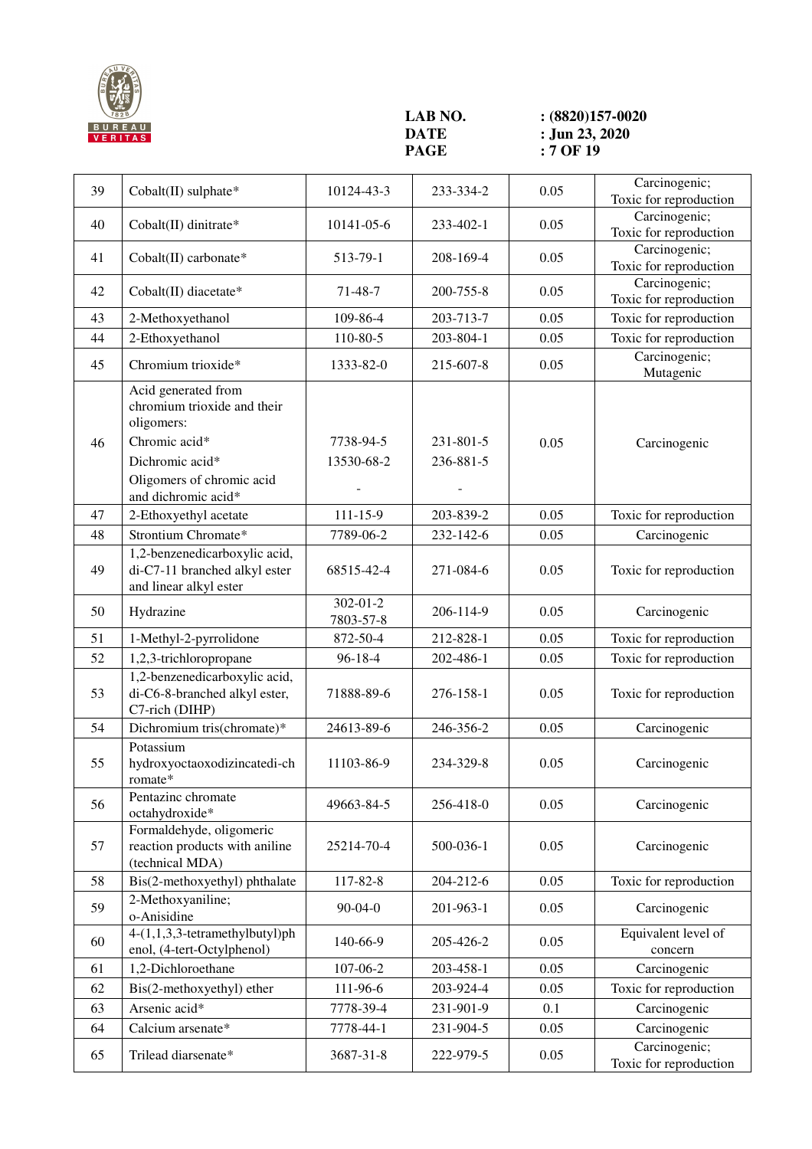

**LAB NO.** <br>**:** (8820)157-0020<br>**DATE :** Jun 23, 2020 **DATE** : **Jun 23, 2020**<br>**PAGE** : 7 OF 19 **PAGE : 7 OF 19** 

| 39 | Cobalt(II) sulphate*                                                                                                                                     | 10124-43-3                  | 233-334-2              | 0.05 | Carcinogenic;<br>Toxic for reproduction |
|----|----------------------------------------------------------------------------------------------------------------------------------------------------------|-----------------------------|------------------------|------|-----------------------------------------|
| 40 | Cobalt(II) dinitrate*                                                                                                                                    | 10141-05-6                  | 233-402-1              | 0.05 | Carcinogenic;<br>Toxic for reproduction |
| 41 | Cobalt(II) carbonate*                                                                                                                                    | 513-79-1                    | 208-169-4              | 0.05 | Carcinogenic;<br>Toxic for reproduction |
| 42 | Cobalt(II) diacetate*                                                                                                                                    | $71-48-7$                   | 200-755-8              | 0.05 | Carcinogenic;<br>Toxic for reproduction |
| 43 | 2-Methoxyethanol                                                                                                                                         | 109-86-4                    | 203-713-7              | 0.05 | Toxic for reproduction                  |
| 44 | 2-Ethoxyethanol                                                                                                                                          | 110-80-5                    | 203-804-1              | 0.05 | Toxic for reproduction                  |
| 45 | Chromium trioxide*                                                                                                                                       | 1333-82-0                   | 215-607-8              | 0.05 | Carcinogenic;<br>Mutagenic              |
| 46 | Acid generated from<br>chromium trioxide and their<br>oligomers:<br>Chromic acid*<br>Dichromic acid*<br>Oligomers of chromic acid<br>and dichromic acid* | 7738-94-5<br>13530-68-2     | 231-801-5<br>236-881-5 | 0.05 | Carcinogenic                            |
| 47 | 2-Ethoxyethyl acetate                                                                                                                                    | $111 - 15 - 9$              | 203-839-2              | 0.05 | Toxic for reproduction                  |
| 48 | Strontium Chromate*                                                                                                                                      | 7789-06-2                   | 232-142-6              | 0.05 | Carcinogenic                            |
| 49 | 1,2-benzenedicarboxylic acid,<br>di-C7-11 branched alkyl ester<br>and linear alkyl ester                                                                 | 68515-42-4                  | 271-084-6              | 0.05 | Toxic for reproduction                  |
| 50 | Hydrazine                                                                                                                                                | $302 - 01 - 2$<br>7803-57-8 | 206-114-9              | 0.05 | Carcinogenic                            |
| 51 | 1-Methyl-2-pyrrolidone                                                                                                                                   | 872-50-4                    | 212-828-1              | 0.05 | Toxic for reproduction                  |
| 52 | 1,2,3-trichloropropane                                                                                                                                   | $96 - 18 - 4$               | 202-486-1              | 0.05 | Toxic for reproduction                  |
| 53 | 1,2-benzenedicarboxylic acid,<br>di-C6-8-branched alkyl ester,<br>C7-rich (DIHP)                                                                         | 71888-89-6                  | 276-158-1              | 0.05 | Toxic for reproduction                  |
| 54 | Dichromium tris(chromate)*                                                                                                                               | 24613-89-6                  | 246-356-2              | 0.05 | Carcinogenic                            |
| 55 | Potassium<br>hydroxyoctaoxodizincatedi-ch<br>romate*                                                                                                     | 11103-86-9                  | 234-329-8              | 0.05 | Carcinogenic                            |
| 56 | Pentazinc chromate<br>octahydroxide*                                                                                                                     | 49663-84-5                  | 256-418-0              | 0.05 | Carcinogenic                            |
| 57 | Formaldehyde, oligomeric<br>reaction products with aniline<br>(technical MDA)                                                                            | 25214-70-4                  | 500-036-1              | 0.05 | Carcinogenic                            |
| 58 | Bis(2-methoxyethyl) phthalate                                                                                                                            | 117-82-8                    | 204-212-6              | 0.05 | Toxic for reproduction                  |
| 59 | 2-Methoxyaniline;<br>o-Anisidine                                                                                                                         | $90-04-0$                   | 201-963-1              | 0.05 | Carcinogenic                            |
| 60 | 4-(1,1,3,3-tetramethylbutyl)ph<br>enol, (4-tert-Octylphenol)                                                                                             | 140-66-9                    | 205-426-2              | 0.05 | Equivalent level of<br>concern          |
| 61 | 1,2-Dichloroethane                                                                                                                                       | 107-06-2                    | 203-458-1              | 0.05 | Carcinogenic                            |
| 62 | Bis(2-methoxyethyl) ether                                                                                                                                | 111-96-6                    | 203-924-4              | 0.05 | Toxic for reproduction                  |
| 63 | Arsenic acid*                                                                                                                                            | 7778-39-4                   | 231-901-9              | 0.1  | Carcinogenic                            |
| 64 | Calcium arsenate*                                                                                                                                        | 7778-44-1                   | 231-904-5              | 0.05 | Carcinogenic                            |
| 65 | Trilead diarsenate*                                                                                                                                      | 3687-31-8                   | 222-979-5              | 0.05 | Carcinogenic;<br>Toxic for reproduction |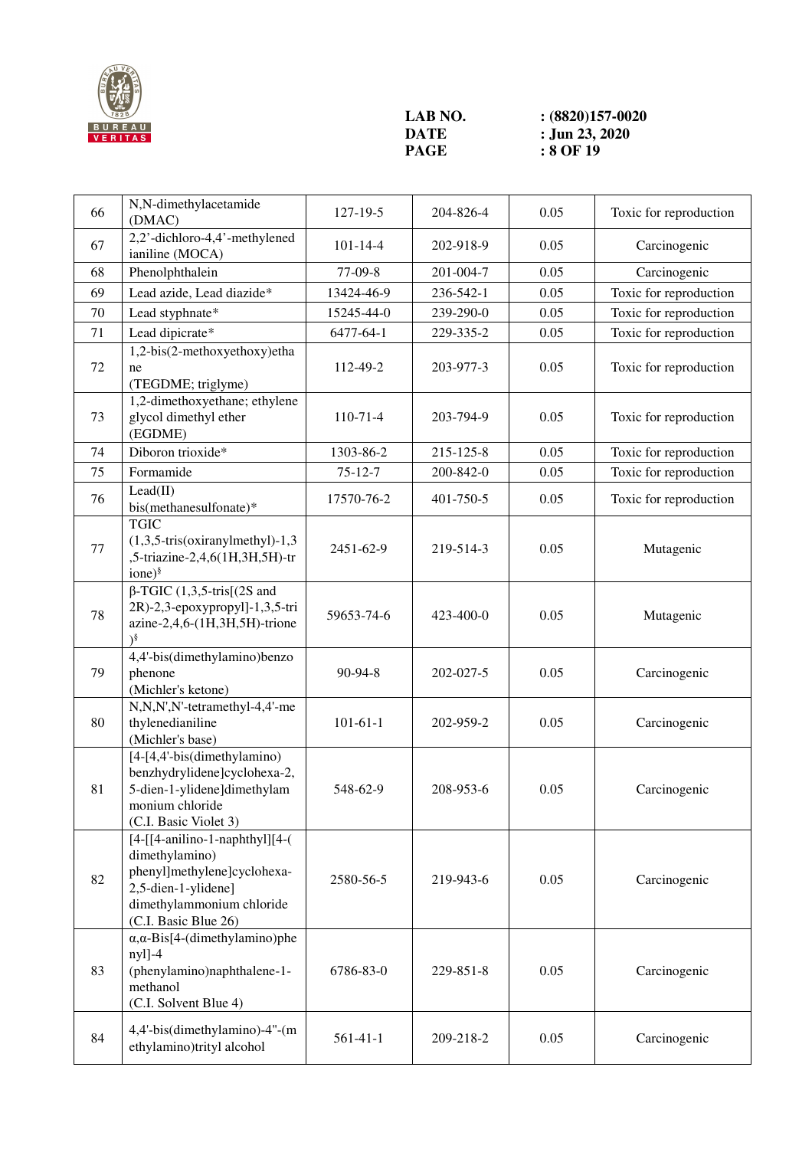

**LAB NO.** <br>**:** (8820)157-0020<br>**DATE :** Jun 23, 2020 **DATE** : **Jun 23, 2020**<br>**PAGE** : **8 OF 19 PAGE : 8 OF 19** 

| 66 | N,N-dimethylacetamide<br>(DMAC)                                                                                                                                | 127-19-5       | 204-826-4 | 0.05 | Toxic for reproduction |
|----|----------------------------------------------------------------------------------------------------------------------------------------------------------------|----------------|-----------|------|------------------------|
| 67 | 2,2'-dichloro-4,4'-methylened<br>ianiline (MOCA)                                                                                                               | $101 - 14 - 4$ | 202-918-9 | 0.05 | Carcinogenic           |
| 68 | Phenolphthalein                                                                                                                                                | 77-09-8        | 201-004-7 | 0.05 | Carcinogenic           |
| 69 | Lead azide, Lead diazide*                                                                                                                                      | 13424-46-9     | 236-542-1 | 0.05 | Toxic for reproduction |
| 70 | Lead styphnate*                                                                                                                                                | 15245-44-0     | 239-290-0 | 0.05 | Toxic for reproduction |
| 71 | Lead dipicrate*                                                                                                                                                | 6477-64-1      | 229-335-2 | 0.05 | Toxic for reproduction |
| 72 | 1,2-bis(2-methoxyethoxy)etha<br>ne<br>(TEGDME; triglyme)                                                                                                       | 112-49-2       | 203-977-3 | 0.05 | Toxic for reproduction |
| 73 | 1,2-dimethoxyethane; ethylene<br>glycol dimethyl ether<br>(EGDME)                                                                                              | $110-71-4$     | 203-794-9 | 0.05 | Toxic for reproduction |
| 74 | Diboron trioxide*                                                                                                                                              | 1303-86-2      | 215-125-8 | 0.05 | Toxic for reproduction |
| 75 | Formamide                                                                                                                                                      | $75 - 12 - 7$  | 200-842-0 | 0.05 | Toxic for reproduction |
| 76 | Lead(II)<br>bis(methanesulfonate)*                                                                                                                             | 17570-76-2     | 401-750-5 | 0.05 | Toxic for reproduction |
| 77 | <b>TGIC</b><br>$(1,3,5-tris(oxiranylmethyl)-1,3)$<br>,5-triazine-2,4,6(1H,3H,5H)-tr<br>$ione)^{\S}$                                                            | 2451-62-9      | 219-514-3 | 0.05 | Mutagenic              |
| 78 | $\beta$ -TGIC (1,3,5-tris[(2S and<br>2R)-2,3-epoxypropyl]-1,3,5-tri<br>azine-2,4,6-(1H,3H,5H)-trione<br>$\mathcal{S}$                                          | 59653-74-6     | 423-400-0 | 0.05 | Mutagenic              |
| 79 | 4,4'-bis(dimethylamino)benzo<br>phenone<br>(Michler's ketone)                                                                                                  | 90-94-8        | 202-027-5 | 0.05 | Carcinogenic           |
| 80 | N,N,N',N'-tetramethyl-4,4'-me<br>thylenedianiline<br>(Michler's base)                                                                                          | $101 - 61 - 1$ | 202-959-2 | 0.05 | Carcinogenic           |
| 81 | [4-[4,4'-bis(dimethylamino)<br>benzhydrylidene]cyclohexa-2,<br>5-dien-1-ylidene]dimethylam<br>monium chloride<br>(C.I. Basic Violet 3)                         | 548-62-9       | 208-953-6 | 0.05 | Carcinogenic           |
| 82 | $[4-[[4-anilino-1-naphthyl]][4-($<br>dimethylamino)<br>phenyl]methylene]cyclohexa-<br>2,5-dien-1-ylidene]<br>dimethylammonium chloride<br>(C.I. Basic Blue 26) | 2580-56-5      | 219-943-6 | 0.05 | Carcinogenic           |
| 83 | $\alpha, \alpha$ -Bis[4-(dimethylamino)phe<br>nyl]-4<br>(phenylamino)naphthalene-1-<br>methanol<br>(C.I. Solvent Blue 4)                                       | 6786-83-0      | 229-851-8 | 0.05 | Carcinogenic           |
| 84 | 4,4'-bis(dimethylamino)-4"-(m<br>ethylamino)trityl alcohol                                                                                                     | $561-41-1$     | 209-218-2 | 0.05 | Carcinogenic           |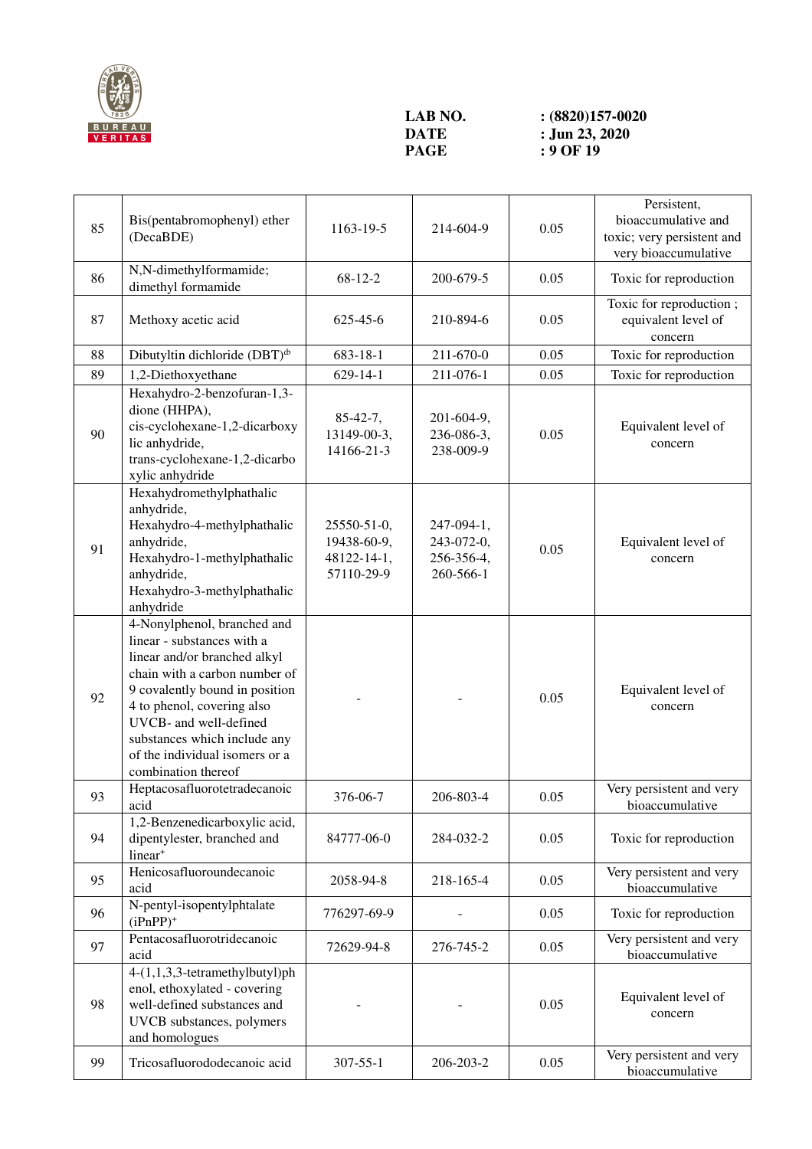

## **LAB NO.** <br>**:** (8820)157-0020<br>**DATE :** Jun 23, 2020 **DATE** : **Jun 23, 2020**<br>**PAGE** : 9 OF 19

**Page 19** 

| 85 | Bis(pentabromophenyl) ether<br>(DecaBDE)                                                                                                                                                                                                                                                                      | 1163-19-5                                               | 214-604-9                                           | 0.05 | Persistent,<br>bioaccumulative and<br>toxic; very persistent and<br>very bioaccumulative |
|----|---------------------------------------------------------------------------------------------------------------------------------------------------------------------------------------------------------------------------------------------------------------------------------------------------------------|---------------------------------------------------------|-----------------------------------------------------|------|------------------------------------------------------------------------------------------|
| 86 | N,N-dimethylformamide;<br>dimethyl formamide                                                                                                                                                                                                                                                                  | $68 - 12 - 2$                                           | 200-679-5                                           | 0.05 | Toxic for reproduction                                                                   |
| 87 | Methoxy acetic acid                                                                                                                                                                                                                                                                                           | 625-45-6                                                | 210-894-6                                           | 0.05 | Toxic for reproduction;<br>equivalent level of<br>concern                                |
| 88 | Dibutyltin dichloride (DBT) <sup>d</sup>                                                                                                                                                                                                                                                                      | 683-18-1                                                | 211-670-0                                           | 0.05 | Toxic for reproduction                                                                   |
| 89 | 1,2-Diethoxyethane                                                                                                                                                                                                                                                                                            | $629 - 14 - 1$                                          | 211-076-1                                           | 0.05 | Toxic for reproduction                                                                   |
| 90 | Hexahydro-2-benzofuran-1,3-<br>dione (HHPA),<br>cis-cyclohexane-1,2-dicarboxy<br>lic anhydride,<br>trans-cyclohexane-1,2-dicarbo<br>xylic anhydride                                                                                                                                                           | $85 - 42 - 7$ ,<br>13149-00-3,<br>14166-21-3            | 201-604-9,<br>236-086-3,<br>238-009-9               | 0.05 | Equivalent level of<br>concern                                                           |
| 91 | Hexahydromethylphathalic<br>anhydride,<br>Hexahydro-4-methylphathalic<br>anhydride,<br>Hexahydro-1-methylphathalic<br>anhydride,<br>Hexahydro-3-methylphathalic<br>anhydride                                                                                                                                  | 25550-51-0,<br>19438-60-9,<br>48122-14-1,<br>57110-29-9 | 247-094-1,<br>243-072-0,<br>256-356-4,<br>260-566-1 | 0.05 | Equivalent level of<br>concern                                                           |
| 92 | 4-Nonylphenol, branched and<br>linear - substances with a<br>linear and/or branched alkyl<br>chain with a carbon number of<br>9 covalently bound in position<br>4 to phenol, covering also<br>UVCB- and well-defined<br>substances which include any<br>of the individual isomers or a<br>combination thereof |                                                         |                                                     | 0.05 | Equivalent level of<br>concern                                                           |
| 93 | Heptacosafluorotetradecanoic<br>acid                                                                                                                                                                                                                                                                          | 376-06-7                                                | 206-803-4                                           | 0.05 | Very persistent and very<br>bioaccumulative                                              |
| 94 | 1,2-Benzenedicarboxylic acid,<br>dipentylester, branched and<br>linear <sup>+</sup>                                                                                                                                                                                                                           | 84777-06-0                                              | 284-032-2                                           | 0.05 | Toxic for reproduction                                                                   |
| 95 | Henicosafluoroundecanoic<br>acid                                                                                                                                                                                                                                                                              | 2058-94-8                                               | 218-165-4                                           | 0.05 | Very persistent and very<br>bioaccumulative                                              |
| 96 | N-pentyl-isopentylphtalate<br>$(iPnPP)^+$                                                                                                                                                                                                                                                                     | 776297-69-9                                             |                                                     | 0.05 | Toxic for reproduction                                                                   |
| 97 | Pentacosafluorotridecanoic<br>acid                                                                                                                                                                                                                                                                            | 72629-94-8                                              | 276-745-2                                           | 0.05 | Very persistent and very<br>bioaccumulative                                              |
| 98 | 4-(1,1,3,3-tetramethylbutyl)ph<br>enol, ethoxylated - covering<br>well-defined substances and<br>UVCB substances, polymers<br>and homologues                                                                                                                                                                  |                                                         |                                                     | 0.05 | Equivalent level of<br>concern                                                           |
| 99 | Tricosafluorododecanoic acid                                                                                                                                                                                                                                                                                  | $307 - 55 - 1$                                          | 206-203-2                                           | 0.05 | Very persistent and very<br>bioaccumulative                                              |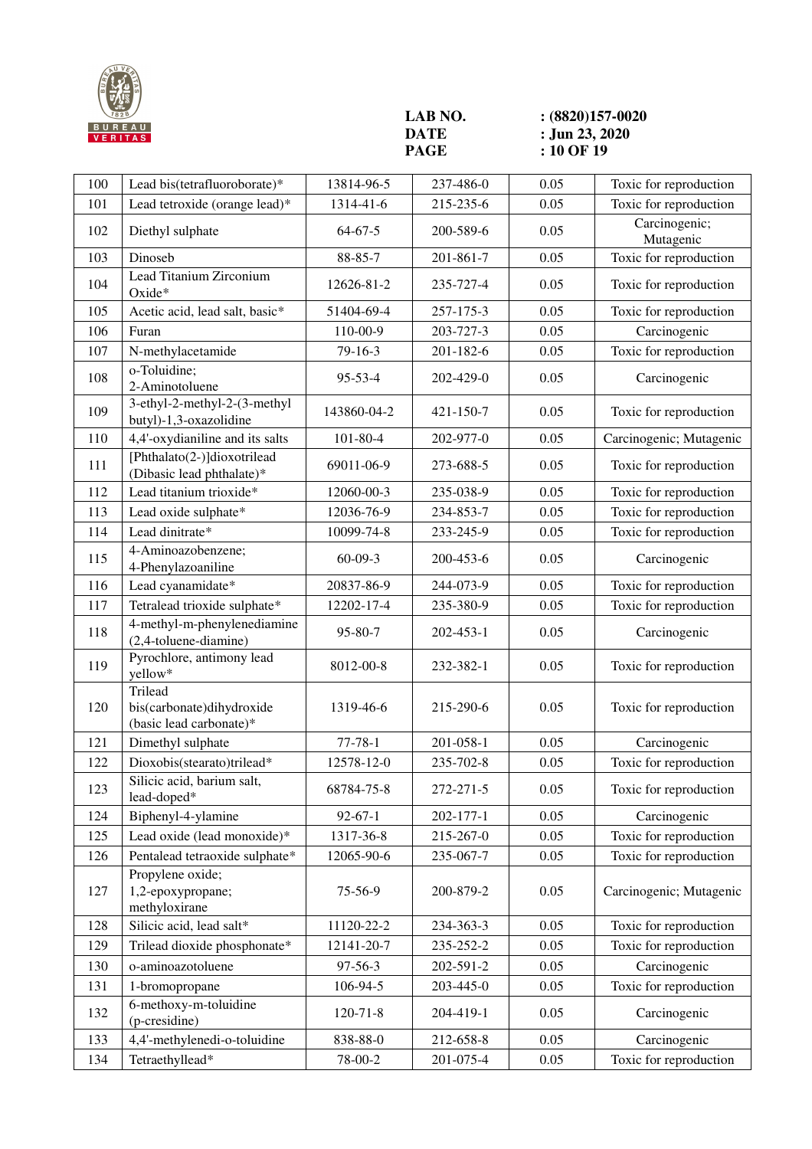

**LAB NO.** <br>**:** (8820)157-0020<br>**DATE :** Jun 23, 2020 **DATE** : **Jun 23, 2020**<br>**PAGE** : **10 OF 19 PAGE 10 OF 19** 

| 100 | Lead bis(tetrafluoroborate)*                                    | 13814-96-5     | 237-486-0 | 0.05 | Toxic for reproduction     |
|-----|-----------------------------------------------------------------|----------------|-----------|------|----------------------------|
| 101 | Lead tetroxide (orange lead)*                                   | 1314-41-6      | 215-235-6 | 0.05 | Toxic for reproduction     |
| 102 | Diethyl sulphate                                                | $64 - 67 - 5$  | 200-589-6 | 0.05 | Carcinogenic;<br>Mutagenic |
| 103 | Dinoseb                                                         | $88 - 85 - 7$  | 201-861-7 | 0.05 | Toxic for reproduction     |
| 104 | Lead Titanium Zirconium<br>Oxide*                               | 12626-81-2     | 235-727-4 | 0.05 | Toxic for reproduction     |
| 105 | Acetic acid, lead salt, basic*                                  | 51404-69-4     | 257-175-3 | 0.05 | Toxic for reproduction     |
| 106 | Furan                                                           | 110-00-9       | 203-727-3 | 0.05 | Carcinogenic               |
| 107 | N-methylacetamide                                               | $79 - 16 - 3$  | 201-182-6 | 0.05 | Toxic for reproduction     |
| 108 | o-Toluidine;<br>2-Aminotoluene                                  | $95 - 53 - 4$  | 202-429-0 | 0.05 | Carcinogenic               |
| 109 | 3-ethyl-2-methyl-2-(3-methyl<br>butyl)-1,3-oxazolidine          | 143860-04-2    | 421-150-7 | 0.05 | Toxic for reproduction     |
| 110 | 4,4'-oxydianiline and its salts                                 | 101-80-4       | 202-977-0 | 0.05 | Carcinogenic; Mutagenic    |
| 111 | [Phthalato(2-)]dioxotrilead<br>(Dibasic lead phthalate)*        | 69011-06-9     | 273-688-5 | 0.05 | Toxic for reproduction     |
| 112 | Lead titanium trioxide*                                         | 12060-00-3     | 235-038-9 | 0.05 | Toxic for reproduction     |
| 113 | Lead oxide sulphate*                                            | 12036-76-9     | 234-853-7 | 0.05 | Toxic for reproduction     |
| 114 | Lead dinitrate*                                                 | 10099-74-8     | 233-245-9 | 0.05 | Toxic for reproduction     |
| 115 | 4-Aminoazobenzene;<br>4-Phenylazoaniline                        | $60 - 09 - 3$  | 200-453-6 | 0.05 | Carcinogenic               |
| 116 | Lead cyanamidate*                                               | 20837-86-9     | 244-073-9 | 0.05 | Toxic for reproduction     |
| 117 | Tetralead trioxide sulphate*                                    | 12202-17-4     | 235-380-9 | 0.05 | Toxic for reproduction     |
| 118 | 4-methyl-m-phenylenediamine<br>(2,4-toluene-diamine)            | $95 - 80 - 7$  | 202-453-1 | 0.05 | Carcinogenic               |
| 119 | Pyrochlore, antimony lead<br>yellow*                            | 8012-00-8      | 232-382-1 | 0.05 | Toxic for reproduction     |
| 120 | Trilead<br>bis(carbonate)dihydroxide<br>(basic lead carbonate)* | 1319-46-6      | 215-290-6 | 0.05 | Toxic for reproduction     |
| 121 | Dimethyl sulphate                                               | $77 - 78 - 1$  | 201-058-1 | 0.05 | Carcinogenic               |
| 122 | Dioxobis(stearato)trilead*                                      | 12578-12-0     | 235-702-8 | 0.05 | Toxic for reproduction     |
| 123 | Silicic acid, barium salt,<br>lead-doped*                       | 68784-75-8     | 272-271-5 | 0.05 | Toxic for reproduction     |
| 124 | Biphenyl-4-ylamine                                              | $92 - 67 - 1$  | 202-177-1 | 0.05 | Carcinogenic               |
| 125 | Lead oxide (lead monoxide)*                                     | 1317-36-8      | 215-267-0 | 0.05 | Toxic for reproduction     |
| 126 | Pentalead tetraoxide sulphate*                                  | 12065-90-6     | 235-067-7 | 0.05 | Toxic for reproduction     |
| 127 | Propylene oxide;<br>1,2-epoxypropane;<br>methyloxirane          | 75-56-9        | 200-879-2 | 0.05 | Carcinogenic; Mutagenic    |
| 128 | Silicic acid, lead salt*                                        | 11120-22-2     | 234-363-3 | 0.05 | Toxic for reproduction     |
| 129 | Trilead dioxide phosphonate*                                    | 12141-20-7     | 235-252-2 | 0.05 | Toxic for reproduction     |
| 130 | o-aminoazotoluene                                               | $97 - 56 - 3$  | 202-591-2 | 0.05 | Carcinogenic               |
| 131 | 1-bromopropane                                                  | 106-94-5       | 203-445-0 | 0.05 | Toxic for reproduction     |
| 132 | 6-methoxy-m-toluidine<br>(p-cresidine)                          | $120 - 71 - 8$ | 204-419-1 | 0.05 | Carcinogenic               |
| 133 | 4,4'-methylenedi-o-toluidine                                    | 838-88-0       | 212-658-8 | 0.05 | Carcinogenic               |
| 134 | Tetraethyllead*                                                 | 78-00-2        | 201-075-4 | 0.05 | Toxic for reproduction     |
|     |                                                                 |                |           |      |                            |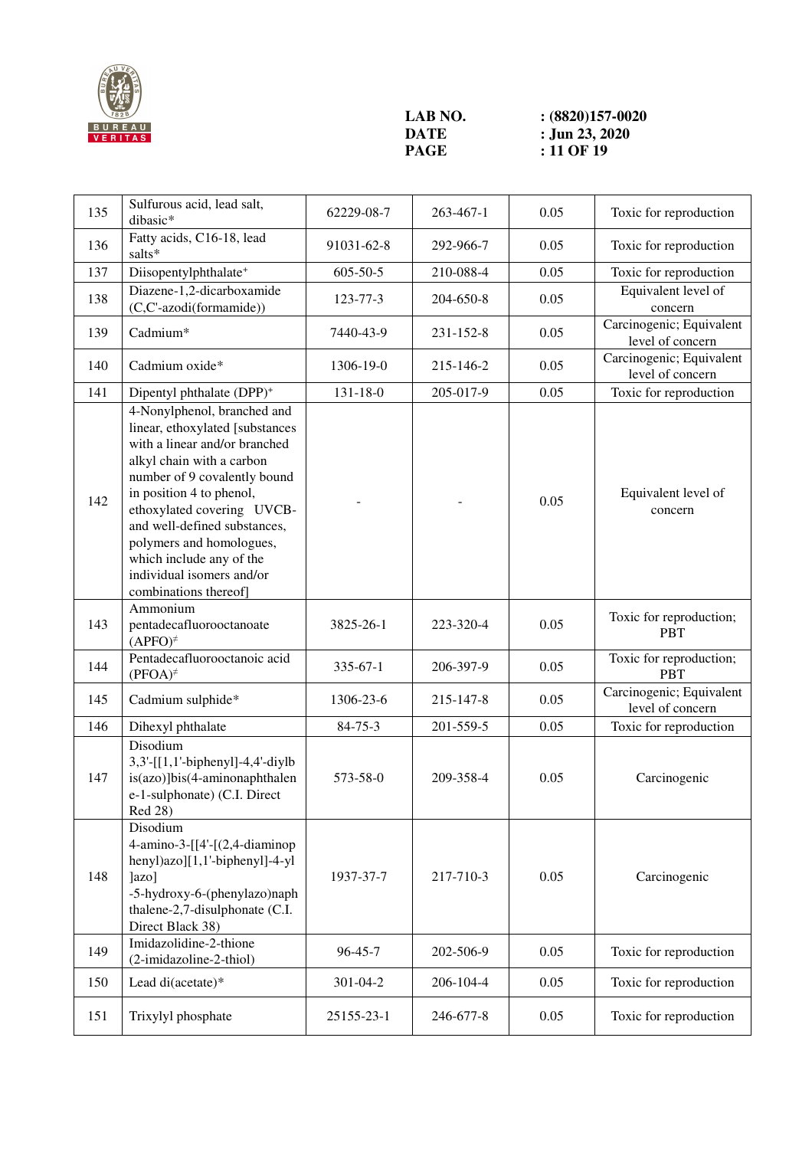

**LAB NO.** <br>**:** (8820)157-0020<br>**DATE :** Jun 23, 2020 **DATE** : **Jun 23, 2020**<br>**PAGE** : 11 OF 19 **Page : 11 OF 19** 

| 135 | Sulfurous acid, lead salt,<br>dibasic*                                                                                                                                                                                                                                                                                                                               | 62229-08-7     | 263-467-1 | 0.05 | Toxic for reproduction                       |
|-----|----------------------------------------------------------------------------------------------------------------------------------------------------------------------------------------------------------------------------------------------------------------------------------------------------------------------------------------------------------------------|----------------|-----------|------|----------------------------------------------|
| 136 | Fatty acids, C16-18, lead<br>salts*                                                                                                                                                                                                                                                                                                                                  | 91031-62-8     | 292-966-7 | 0.05 | Toxic for reproduction                       |
| 137 | Diisopentylphthalate <sup>+</sup>                                                                                                                                                                                                                                                                                                                                    | 605-50-5       | 210-088-4 | 0.05 | Toxic for reproduction                       |
| 138 | Diazene-1,2-dicarboxamide<br>(C,C'-azodi(formamide))                                                                                                                                                                                                                                                                                                                 | 123-77-3       | 204-650-8 | 0.05 | Equivalent level of<br>concern               |
| 139 | Cadmium*                                                                                                                                                                                                                                                                                                                                                             | 7440-43-9      | 231-152-8 | 0.05 | Carcinogenic; Equivalent<br>level of concern |
| 140 | Cadmium oxide*                                                                                                                                                                                                                                                                                                                                                       | 1306-19-0      | 215-146-2 | 0.05 | Carcinogenic; Equivalent<br>level of concern |
| 141 | Dipentyl phthalate (DPP) <sup>+</sup>                                                                                                                                                                                                                                                                                                                                | $131 - 18 - 0$ | 205-017-9 | 0.05 | Toxic for reproduction                       |
| 142 | 4-Nonylphenol, branched and<br>linear, ethoxylated [substances<br>with a linear and/or branched<br>alkyl chain with a carbon<br>number of 9 covalently bound<br>in position 4 to phenol,<br>ethoxylated covering UVCB-<br>and well-defined substances,<br>polymers and homologues,<br>which include any of the<br>individual isomers and/or<br>combinations thereof] |                |           | 0.05 | Equivalent level of<br>concern               |
| 143 | Ammonium<br>pentadecafluorooctanoate<br>$(APFO)^{\neq}$                                                                                                                                                                                                                                                                                                              | 3825-26-1      | 223-320-4 | 0.05 | Toxic for reproduction;<br><b>PBT</b>        |
| 144 | Pentadecafluorooctanoic acid<br>$(PFOA)^{\neq}$                                                                                                                                                                                                                                                                                                                      | $335 - 67 - 1$ | 206-397-9 | 0.05 | Toxic for reproduction;<br><b>PBT</b>        |
| 145 | Cadmium sulphide*                                                                                                                                                                                                                                                                                                                                                    | 1306-23-6      | 215-147-8 | 0.05 | Carcinogenic; Equivalent<br>level of concern |
| 146 | Dihexyl phthalate                                                                                                                                                                                                                                                                                                                                                    | $84 - 75 - 3$  | 201-559-5 | 0.05 | Toxic for reproduction                       |
| 147 | Disodium<br>3,3'-[[1,1'-biphenyl]-4,4'-diylb<br>is(azo)]bis(4-aminonaphthalen<br>e-1-sulphonate) (C.I. Direct<br>Red 28)                                                                                                                                                                                                                                             | 573-58-0       | 209-358-4 | 0.05 | Carcinogenic                                 |
| 148 | Disodium<br>4-amino-3- $[$ [4'-[(2,4-diaminop<br>henyl)azo][1,1'-biphenyl]-4-yl<br> azo <br>-5-hydroxy-6-(phenylazo)naph<br>thalene-2,7-disulphonate (C.I.<br>Direct Black 38)                                                                                                                                                                                       | 1937-37-7      | 217-710-3 | 0.05 | Carcinogenic                                 |
| 149 | Imidazolidine-2-thione<br>(2-imidazoline-2-thiol)                                                                                                                                                                                                                                                                                                                    | $96 - 45 - 7$  | 202-506-9 | 0.05 | Toxic for reproduction                       |
| 150 | Lead di(acetate)*                                                                                                                                                                                                                                                                                                                                                    | 301-04-2       | 206-104-4 | 0.05 | Toxic for reproduction                       |
| 151 | Trixylyl phosphate                                                                                                                                                                                                                                                                                                                                                   | 25155-23-1     | 246-677-8 | 0.05 | Toxic for reproduction                       |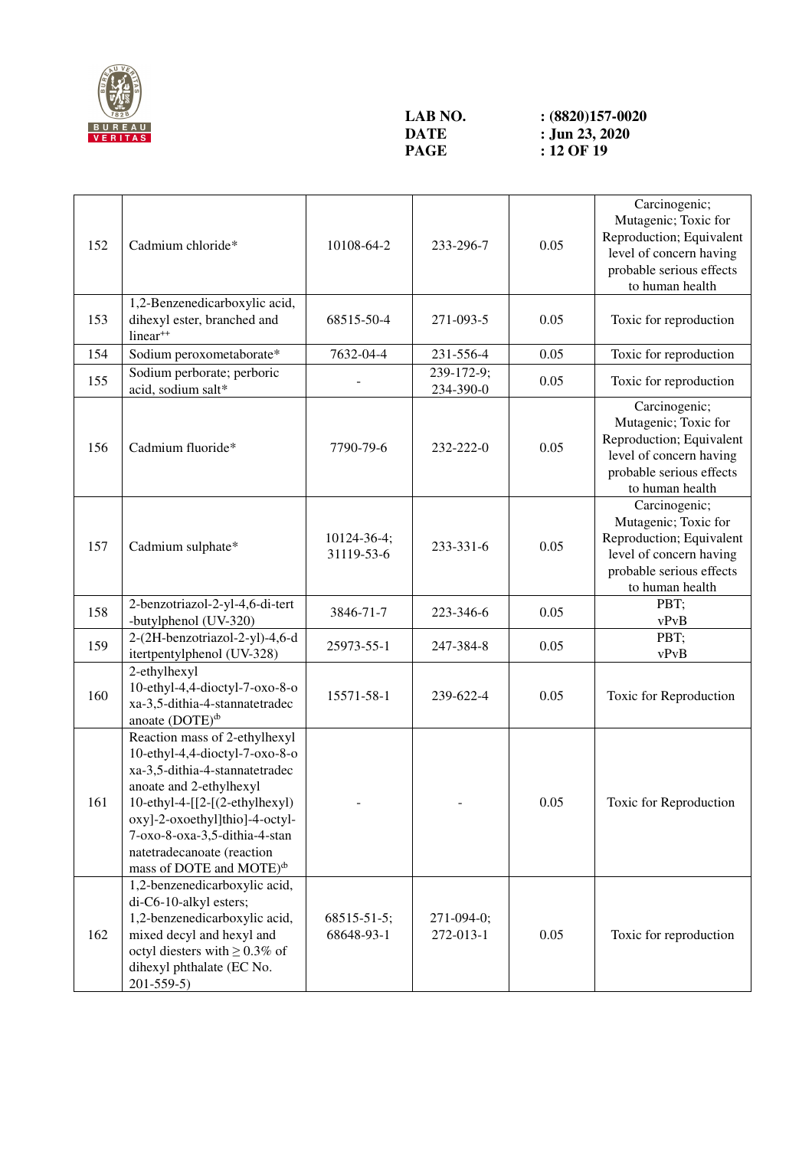

## **LAB NO.** <br>**:** (8820)157-0020<br>**DATE :** Jun 23, 2020 **DATE** : **Jun 23, 2020**<br>**PAGE** : **12 OF 19 PAGE 12 OF 19**

| 152 | Cadmium chloride*                                                                                                                                                                                                                                                                                                      | 10108-64-2                       | 233-296-7               | 0.05 | Carcinogenic;<br>Mutagenic; Toxic for<br>Reproduction; Equivalent<br>level of concern having<br>probable serious effects<br>to human health |
|-----|------------------------------------------------------------------------------------------------------------------------------------------------------------------------------------------------------------------------------------------------------------------------------------------------------------------------|----------------------------------|-------------------------|------|---------------------------------------------------------------------------------------------------------------------------------------------|
| 153 | 1,2-Benzenedicarboxylic acid,<br>dihexyl ester, branched and<br>linear <sup>++</sup>                                                                                                                                                                                                                                   | 68515-50-4                       | 271-093-5               | 0.05 | Toxic for reproduction                                                                                                                      |
| 154 | Sodium peroxometaborate*                                                                                                                                                                                                                                                                                               | 7632-04-4                        | 231-556-4               | 0.05 | Toxic for reproduction                                                                                                                      |
| 155 | Sodium perborate; perboric<br>acid, sodium salt*                                                                                                                                                                                                                                                                       |                                  | 239-172-9;<br>234-390-0 | 0.05 | Toxic for reproduction                                                                                                                      |
| 156 | Cadmium fluoride*                                                                                                                                                                                                                                                                                                      | 7790-79-6                        | 232-222-0               | 0.05 | Carcinogenic;<br>Mutagenic; Toxic for<br>Reproduction; Equivalent<br>level of concern having<br>probable serious effects<br>to human health |
| 157 | Cadmium sulphate*                                                                                                                                                                                                                                                                                                      | 10124-36-4;<br>31119-53-6        | 233-331-6               | 0.05 | Carcinogenic;<br>Mutagenic; Toxic for<br>Reproduction; Equivalent<br>level of concern having<br>probable serious effects<br>to human health |
| 158 | 2-benzotriazol-2-yl-4,6-di-tert<br>-butylphenol (UV-320)                                                                                                                                                                                                                                                               | 3846-71-7                        | 223-346-6               | 0.05 | PBT;<br>vPvB                                                                                                                                |
| 159 | 2-(2H-benzotriazol-2-yl)-4,6-d<br>itertpentylphenol (UV-328)                                                                                                                                                                                                                                                           | 25973-55-1                       | 247-384-8               | 0.05 | PBT;<br>vPvB                                                                                                                                |
| 160 | 2-ethylhexyl<br>10-ethyl-4,4-dioctyl-7-oxo-8-o<br>xa-3,5-dithia-4-stannatetradec<br>anoate $(DOTE)^{\phi}$                                                                                                                                                                                                             | 15571-58-1                       | 239-622-4               | 0.05 | Toxic for Reproduction                                                                                                                      |
| 161 | Reaction mass of 2-ethylhexyl<br>10-ethyl-4,4-dioctyl-7-oxo-8-o<br>xa-3,5-dithia-4-stannatetradec<br>anoate and 2-ethylhexyl<br>10-ethyl-4-[[2-[(2-ethylhexyl)<br>oxy]-2-oxoethyl]thio]-4-octyl-<br>7-oxo-8-oxa-3,5-dithia-4-stan<br>natetradecanoate (reaction<br>mass of DOTE and MOTE) <sup><math>\Phi</math></sup> |                                  |                         | 0.05 | Toxic for Reproduction                                                                                                                      |
| 162 | 1,2-benzenedicarboxylic acid,<br>di-C6-10-alkyl esters;<br>1,2-benzenedicarboxylic acid,<br>mixed decyl and hexyl and<br>octyl diesters with $\geq 0.3\%$ of<br>dihexyl phthalate (EC No.<br>$201 - 559 - 5$                                                                                                           | $68515 - 51 - 5$ ;<br>68648-93-1 | 271-094-0;<br>272-013-1 | 0.05 | Toxic for reproduction                                                                                                                      |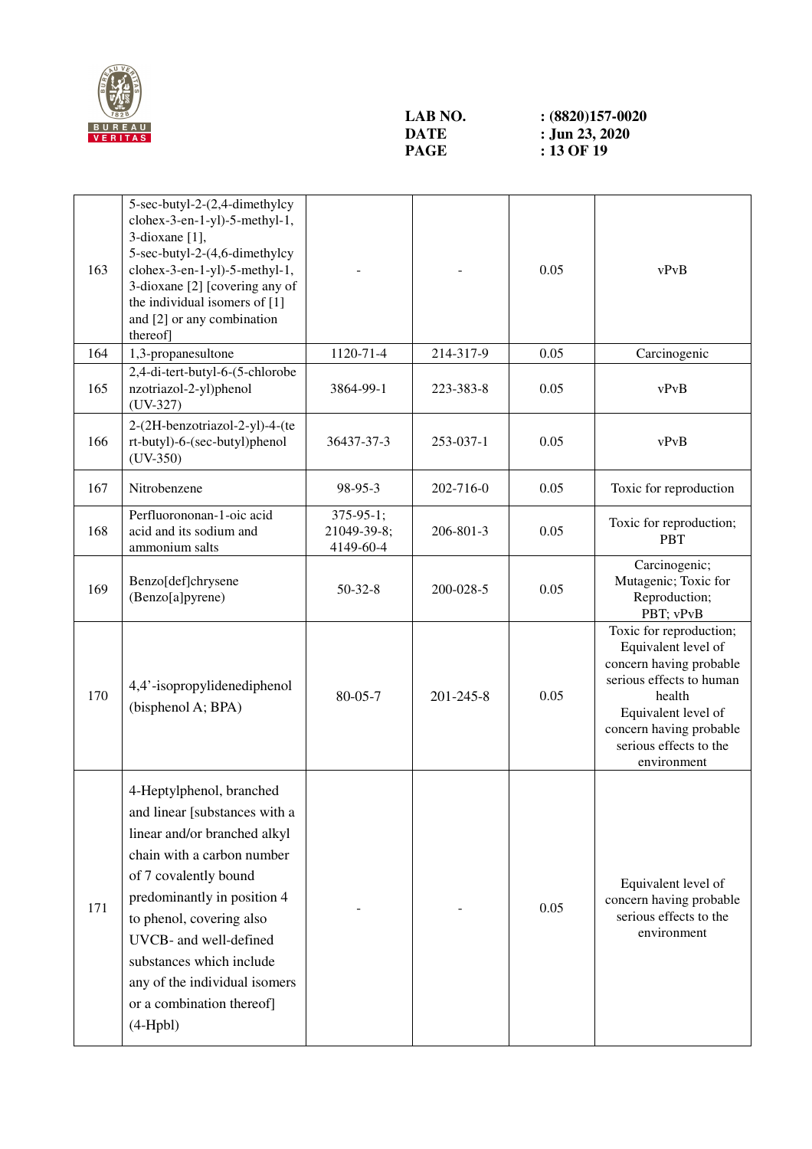

## **LAB NO.** <br>**:** (8820)157-0020<br>**DATE :** Jun 23, 2020 **DATE** : **Jun 23, 2020**<br>**PAGE** : 13 OF 19 **PAGE 13 OF 19**

| 163 | 5-sec-butyl-2-(2,4-dimethylcy<br>clohex-3-en-1-yl)-5-methyl-1,<br>3-dioxane [1],<br>5-sec-butyl-2-(4,6-dimethylcy<br>clohex-3-en-1-yl)-5-methyl-1,<br>3-dioxane [2] [covering any of<br>the individual isomers of [1]<br>and [2] or any combination<br>thereof]                                                                               |                                             |           | 0.05 | vPvB                                                                                                                                                                                                       |
|-----|-----------------------------------------------------------------------------------------------------------------------------------------------------------------------------------------------------------------------------------------------------------------------------------------------------------------------------------------------|---------------------------------------------|-----------|------|------------------------------------------------------------------------------------------------------------------------------------------------------------------------------------------------------------|
| 164 | 1,3-propanesultone                                                                                                                                                                                                                                                                                                                            | 1120-71-4                                   | 214-317-9 | 0.05 | Carcinogenic                                                                                                                                                                                               |
| 165 | 2,4-di-tert-butyl-6-(5-chlorobe<br>nzotriazol-2-yl)phenol<br>$(UV-327)$                                                                                                                                                                                                                                                                       | 3864-99-1                                   | 223-383-8 | 0.05 | vPvB                                                                                                                                                                                                       |
| 166 | 2-(2H-benzotriazol-2-yl)-4-(te<br>rt-butyl)-6-(sec-butyl)phenol<br>$(UV-350)$                                                                                                                                                                                                                                                                 | 36437-37-3                                  | 253-037-1 | 0.05 | vPvB                                                                                                                                                                                                       |
| 167 | Nitrobenzene                                                                                                                                                                                                                                                                                                                                  | 98-95-3                                     | 202-716-0 | 0.05 | Toxic for reproduction                                                                                                                                                                                     |
| 168 | Perfluorononan-1-oic acid<br>acid and its sodium and<br>ammonium salts                                                                                                                                                                                                                                                                        | $375 - 95 - 1;$<br>21049-39-8;<br>4149-60-4 | 206-801-3 | 0.05 | Toxic for reproduction;<br><b>PBT</b>                                                                                                                                                                      |
| 169 | Benzo[def]chrysene<br>(Benzo[a]pyrene)                                                                                                                                                                                                                                                                                                        | $50 - 32 - 8$                               | 200-028-5 | 0.05 | Carcinogenic;<br>Mutagenic; Toxic for<br>Reproduction;<br>PBT; vPvB                                                                                                                                        |
| 170 | 4,4'-isopropylidenediphenol<br>(bisphenol A; BPA)                                                                                                                                                                                                                                                                                             | $80 - 05 - 7$                               | 201-245-8 | 0.05 | Toxic for reproduction;<br>Equivalent level of<br>concern having probable<br>serious effects to human<br>health<br>Equivalent level of<br>concern having probable<br>serious effects to the<br>environment |
| 171 | 4-Heptylphenol, branched<br>and linear [substances with a<br>linear and/or branched alkyl<br>chain with a carbon number<br>of 7 covalently bound<br>predominantly in position 4<br>to phenol, covering also<br>UVCB- and well-defined<br>substances which include<br>any of the individual isomers<br>or a combination thereof]<br>$(4-Hpbl)$ |                                             |           | 0.05 | Equivalent level of<br>concern having probable<br>serious effects to the<br>environment                                                                                                                    |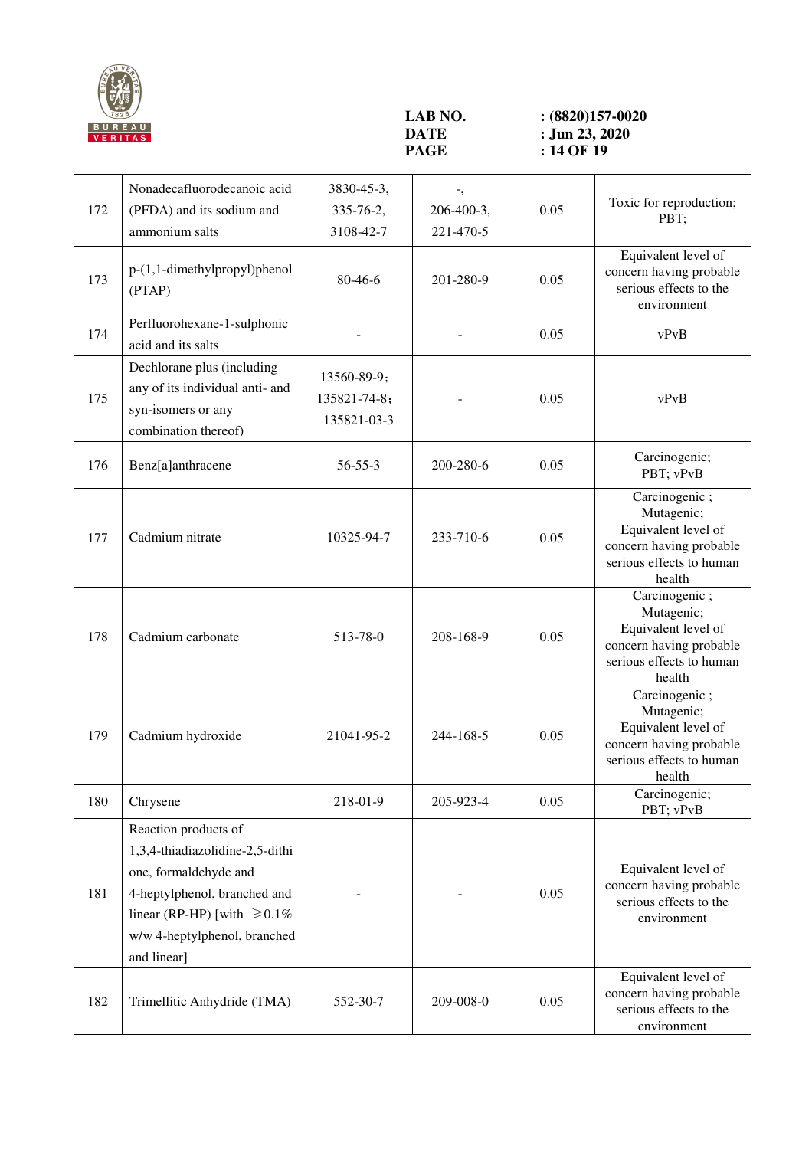

**LAB NO.** <br>**:** (8820)157-0020<br>**DATE :** Jun 23, 2020 **DATE** : **Jun 23, 2020**<br>**PAGE** : 14 OF 19 **PAGE 14 OF 19** 

| 172 | Nonadecafluorodecanoic acid<br>(PFDA) and its sodium and<br>ammonium salts                                                                                                                           | 3830-45-3,<br>335-76-2,<br>3108-42-7       | 206-400-3,<br>221-470-5 | 0.05 | Toxic for reproduction;<br>PBT;                                                                                     |
|-----|------------------------------------------------------------------------------------------------------------------------------------------------------------------------------------------------------|--------------------------------------------|-------------------------|------|---------------------------------------------------------------------------------------------------------------------|
| 173 | $p-(1,1-dimethylpropyl)$ phenol<br>(PTAP)                                                                                                                                                            | 80-46-6                                    | 201-280-9               | 0.05 | Equivalent level of<br>concern having probable<br>serious effects to the<br>environment                             |
| 174 | Perfluorohexane-1-sulphonic<br>acid and its salts                                                                                                                                                    |                                            |                         | 0.05 | vPvB                                                                                                                |
| 175 | Dechlorane plus (including<br>any of its individual anti- and<br>syn-isomers or any<br>combination thereof)                                                                                          | 13560-89-9;<br>135821-74-8;<br>135821-03-3 |                         | 0.05 | vPvB                                                                                                                |
| 176 | Benz[a]anthracene                                                                                                                                                                                    | $56 - 55 - 3$                              | 200-280-6               | 0.05 | Carcinogenic;<br>PBT; vPvB                                                                                          |
| 177 | Cadmium nitrate                                                                                                                                                                                      | 10325-94-7                                 | 233-710-6               | 0.05 | Carcinogenic;<br>Mutagenic;<br>Equivalent level of<br>concern having probable<br>serious effects to human<br>health |
| 178 | Cadmium carbonate                                                                                                                                                                                    | 513-78-0                                   | 208-168-9               | 0.05 | Carcinogenic;<br>Mutagenic;<br>Equivalent level of<br>concern having probable<br>serious effects to human<br>health |
| 179 | Cadmium hydroxide                                                                                                                                                                                    | 21041-95-2                                 | 244-168-5               | 0.05 | Carcinogenic;<br>Mutagenic;<br>Equivalent level of<br>concern having probable<br>serious effects to human<br>health |
| 180 | Chrysene                                                                                                                                                                                             | 218-01-9                                   | 205-923-4               | 0.05 | Carcinogenic;<br>PBT; vPvB                                                                                          |
| 181 | Reaction products of<br>1,3,4-thiadiazolidine-2,5-dithi<br>one, formaldehyde and<br>4-heptylphenol, branched and<br>linear (RP-HP) [with $\geq 0.1\%$<br>w/w 4-heptylphenol, branched<br>and linear] |                                            |                         | 0.05 | Equivalent level of<br>concern having probable<br>serious effects to the<br>environment                             |
| 182 | Trimellitic Anhydride (TMA)                                                                                                                                                                          | 552-30-7                                   | 209-008-0               | 0.05 | Equivalent level of<br>concern having probable<br>serious effects to the<br>environment                             |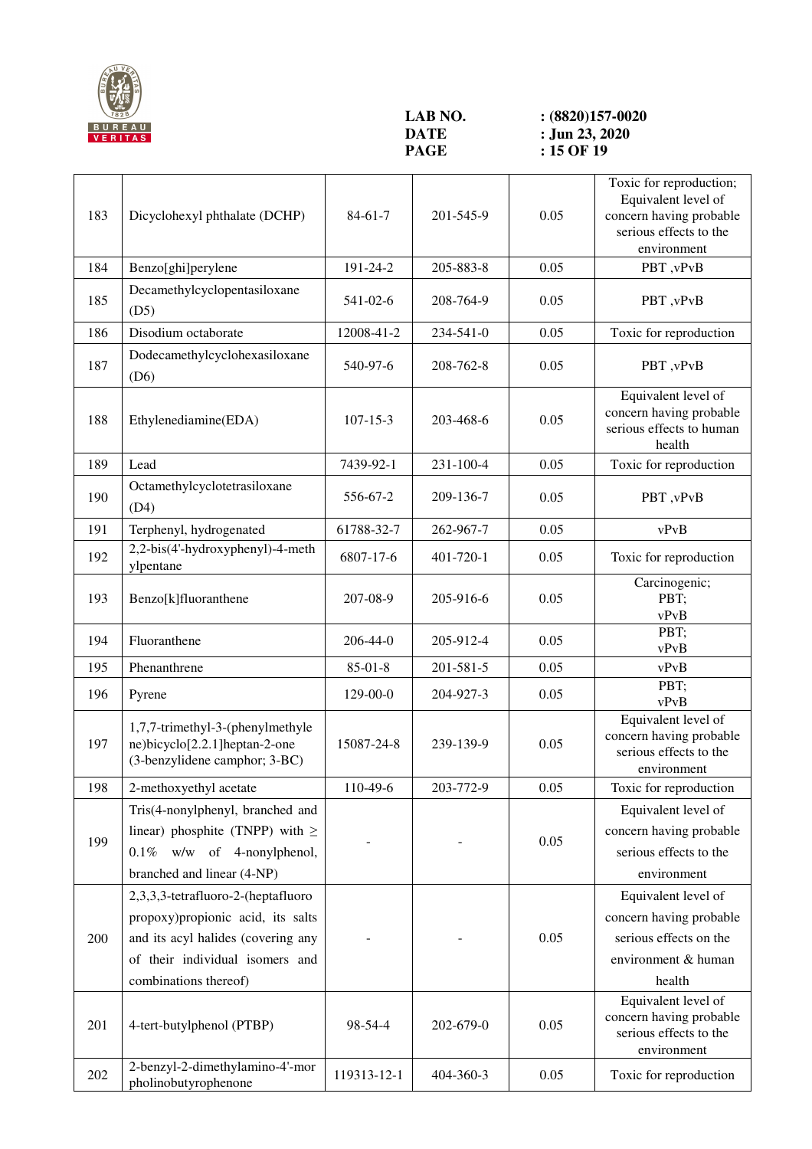

**LAB NO.** <br>**:** (8820)157-0020<br>**DATE :** Jun 23, 2020 **DATE** : **Jun 23, 2020**<br>**PAGE** : **15 OF 19 PAGE 15 OF 19** 

| 183 | Dicyclohexyl phthalate (DCHP)                                                                                                                                             | $84-61-7$      | 201-545-9 | 0.05 | Toxic for reproduction;<br>Equivalent level of<br>concern having probable<br>serious effects to the       |
|-----|---------------------------------------------------------------------------------------------------------------------------------------------------------------------------|----------------|-----------|------|-----------------------------------------------------------------------------------------------------------|
| 184 |                                                                                                                                                                           | 191-24-2       | 205-883-8 | 0.05 | environment<br>PBT, vPvB                                                                                  |
|     | Benzo[ghi]perylene                                                                                                                                                        |                |           |      |                                                                                                           |
| 185 | Decamethylcyclopentasiloxane<br>(D5)                                                                                                                                      | 541-02-6       | 208-764-9 | 0.05 | PBT, vPvB                                                                                                 |
| 186 | Disodium octaborate                                                                                                                                                       | 12008-41-2     | 234-541-0 | 0.05 | Toxic for reproduction                                                                                    |
| 187 | Dodecamethylcyclohexasiloxane<br>(D6)                                                                                                                                     | 540-97-6       | 208-762-8 | 0.05 | PBT, vPvB                                                                                                 |
| 188 | Ethylenediamine(EDA)                                                                                                                                                      | $107 - 15 - 3$ | 203-468-6 | 0.05 | Equivalent level of<br>concern having probable<br>serious effects to human<br>health                      |
| 189 | Lead                                                                                                                                                                      | 7439-92-1      | 231-100-4 | 0.05 | Toxic for reproduction                                                                                    |
| 190 | Octamethylcyclotetrasiloxane<br>(D4)                                                                                                                                      | 556-67-2       | 209-136-7 | 0.05 | PBT, vPvB                                                                                                 |
| 191 | Terphenyl, hydrogenated                                                                                                                                                   | 61788-32-7     | 262-967-7 | 0.05 | vPvB                                                                                                      |
| 192 | 2,2-bis(4'-hydroxyphenyl)-4-meth<br>ylpentane                                                                                                                             | 6807-17-6      | 401-720-1 | 0.05 | Toxic for reproduction                                                                                    |
| 193 | Benzo[k]fluoranthene                                                                                                                                                      | 207-08-9       | 205-916-6 | 0.05 | Carcinogenic;<br>PBT;<br>vPvB                                                                             |
| 194 | Fluoranthene                                                                                                                                                              | 206-44-0       | 205-912-4 | 0.05 | PBT;<br>vPvB                                                                                              |
| 195 | Phenanthrene                                                                                                                                                              | $85 - 01 - 8$  | 201-581-5 | 0.05 | vPvB                                                                                                      |
| 196 | Pyrene                                                                                                                                                                    | 129-00-0       | 204-927-3 | 0.05 | PBT;<br>vPvB                                                                                              |
| 197 | 1,7,7-trimethyl-3-(phenylmethyle<br>ne)bicyclo[2.2.1]heptan-2-one<br>(3-benzylidene camphor; 3-BC)                                                                        | 15087-24-8     | 239-139-9 | 0.05 | Equivalent level of<br>concern having probable<br>serious effects to the<br>environment                   |
| 198 | 2-methoxyethyl acetate                                                                                                                                                    | 110-49-6       | 203-772-9 | 0.05 | Toxic for reproduction                                                                                    |
| 199 | Tris(4-nonylphenyl, branched and<br>linear) phosphite (TNPP) with $\geq$<br>$0.1\%$ w/w of 4-nonylphenol,<br>branched and linear (4-NP)                                   |                |           | 0.05 | Equivalent level of<br>concern having probable<br>serious effects to the<br>environment                   |
| 200 | 2,3,3,3-tetrafluoro-2-(heptafluoro<br>propoxy)propionic acid, its salts<br>and its acyl halides (covering any<br>of their individual isomers and<br>combinations thereof) |                |           | 0.05 | Equivalent level of<br>concern having probable<br>serious effects on the<br>environment & human<br>health |
| 201 | 4-tert-butylphenol (PTBP)                                                                                                                                                 | 98-54-4        | 202-679-0 | 0.05 | Equivalent level of<br>concern having probable<br>serious effects to the<br>environment                   |
| 202 | 2-benzyl-2-dimethylamino-4'-mor<br>pholinobutyrophenone                                                                                                                   | 119313-12-1    | 404-360-3 | 0.05 | Toxic for reproduction                                                                                    |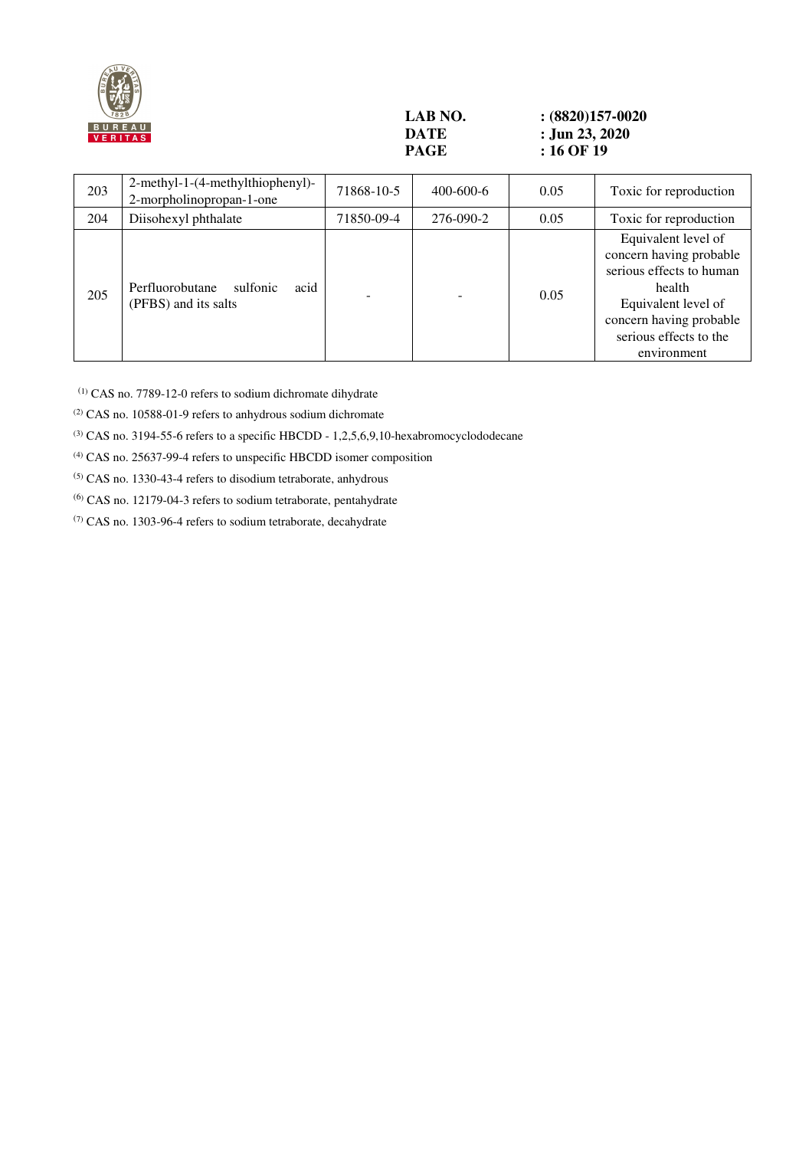

## **LAB NO. : (8820)157-0020 DATE** : Jun 23, 2020<br> **PAGE** : 16 OF 19 **: 16 OF 19**

| 203 | 2-methyl-1-(4-methylthiophenyl)-<br>2-morpholinopropan-1-one | 71868-10-5 | $400 - 600 - 6$ | 0.05 | Toxic for reproduction                                                                                                                                                          |
|-----|--------------------------------------------------------------|------------|-----------------|------|---------------------------------------------------------------------------------------------------------------------------------------------------------------------------------|
| 204 | Diisohexyl phthalate                                         | 71850-09-4 | 276-090-2       | 0.05 | Toxic for reproduction                                                                                                                                                          |
| 205 | acid<br>Perfluorobutane<br>sulfonic<br>(PFBS) and its salts  |            |                 | 0.05 | Equivalent level of<br>concern having probable<br>serious effects to human<br>health<br>Equivalent level of<br>concern having probable<br>serious effects to the<br>environment |

(1) CAS no. 7789-12-0 refers to sodium dichromate dihydrate

(2) CAS no. 10588-01-9 refers to anhydrous sodium dichromate

(3) CAS no. 3194-55-6 refers to a specific HBCDD - 1,2,5,6,9,10-hexabromocyclododecane

(4) CAS no. 25637-99-4 refers to unspecific HBCDD isomer composition

(5) CAS no. 1330-43-4 refers to disodium tetraborate, anhydrous

(6) CAS no. 12179-04-3 refers to sodium tetraborate, pentahydrate

 $(7)$  CAS no. 1303-96-4 refers to sodium tetraborate, decahydrate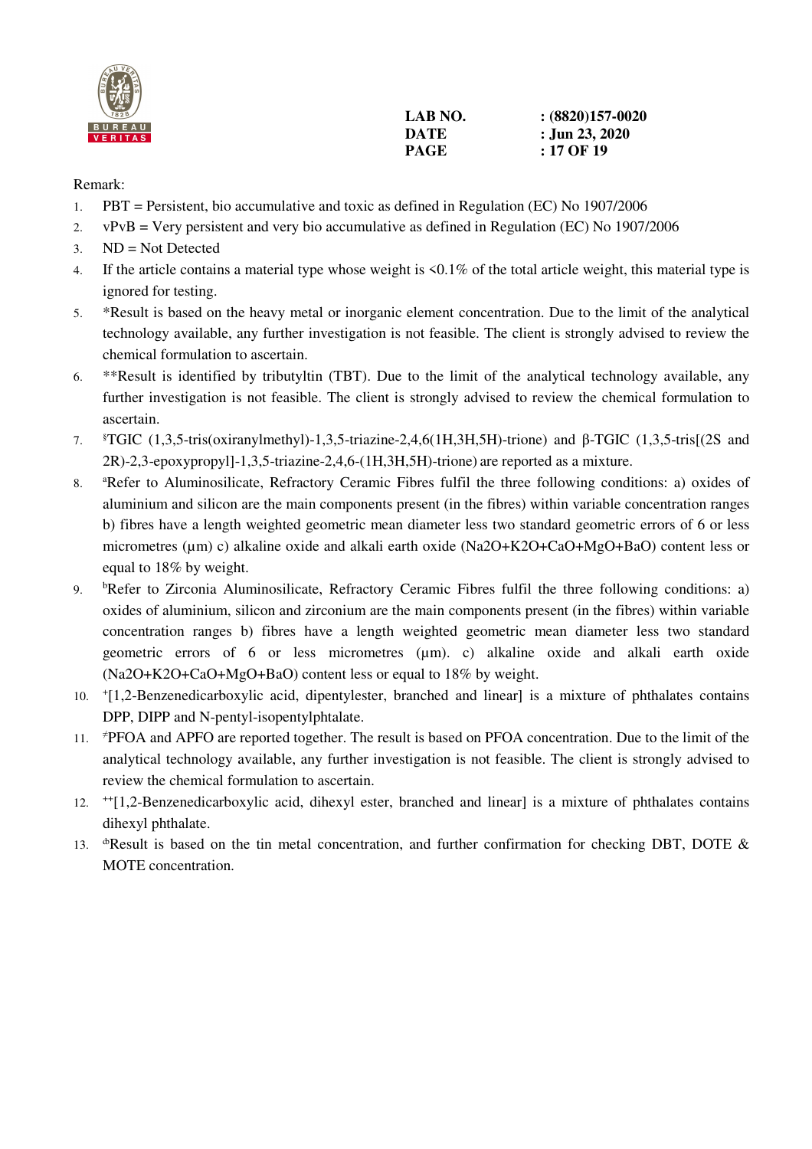

| LAB NO. | $(8820)157-0020$ |
|---------|------------------|
| DATE    | : Jun 23, 2020   |
| PAGE    | : 17 OF 19       |

## Remark:

- 1. PBT = Persistent, bio accumulative and toxic as defined in Regulation (EC) No 1907/2006
- 2. vPvB = Very persistent and very bio accumulative as defined in Regulation (EC) No 1907/2006
- 3. ND = Not Detected
- 4. If the article contains a material type whose weight is <0.1% of the total article weight, this material type is ignored for testing.
- 5. \*Result is based on the heavy metal or inorganic element concentration. Due to the limit of the analytical technology available, any further investigation is not feasible. The client is strongly advised to review the chemical formulation to ascertain.
- 6. \*\*Result is identified by tributyltin (TBT). Due to the limit of the analytical technology available, any further investigation is not feasible. The client is strongly advised to review the chemical formulation to ascertain.
- 7. §TGIC (1,3,5-tris(oxiranylmethyl)-1,3,5-triazine-2,4,6(1H,3H,5H)-trione) and β-TGIC (1,3,5-tris[(2S and 2R)-2,3-epoxypropyl]-1,3,5-triazine-2,4,6-(1H,3H,5H)-trione) are reported as a mixture.
- 8. <sup>a</sup>Refer to Aluminosilicate, Refractory Ceramic Fibres fulfil the three following conditions: a) oxides of aluminium and silicon are the main components present (in the fibres) within variable concentration ranges b) fibres have a length weighted geometric mean diameter less two standard geometric errors of 6 or less micrometres (µm) c) alkaline oxide and alkali earth oxide (Na2O+K2O+CaO+MgO+BaO) content less or equal to 18% by weight.
- 9. <sup>b</sup>Refer to Zirconia Aluminosilicate, Refractory Ceramic Fibres fulfil the three following conditions: a) oxides of aluminium, silicon and zirconium are the main components present (in the fibres) within variable concentration ranges b) fibres have a length weighted geometric mean diameter less two standard geometric errors of 6 or less micrometres (µm). c) alkaline oxide and alkali earth oxide (Na2O+K2O+CaO+MgO+BaO) content less or equal to 18% by weight.
- 10. <sup>+</sup> [1,2-Benzenedicarboxylic acid, dipentylester, branched and linear] is a mixture of phthalates contains DPP, DIPP and N-pentyl-isopentylphtalate.
- 11. <sup>≠</sup>PFOA and APFO are reported together. The result is based on PFOA concentration. Due to the limit of the analytical technology available, any further investigation is not feasible. The client is strongly advised to review the chemical formulation to ascertain.
- 12. ++[1,2-Benzenedicarboxylic acid, dihexyl ester, branched and linear] is a mixture of phthalates contains dihexyl phthalate.
- 13.  $\Phi$ Result is based on the tin metal concentration, and further confirmation for checking DBT, DOTE & MOTE concentration.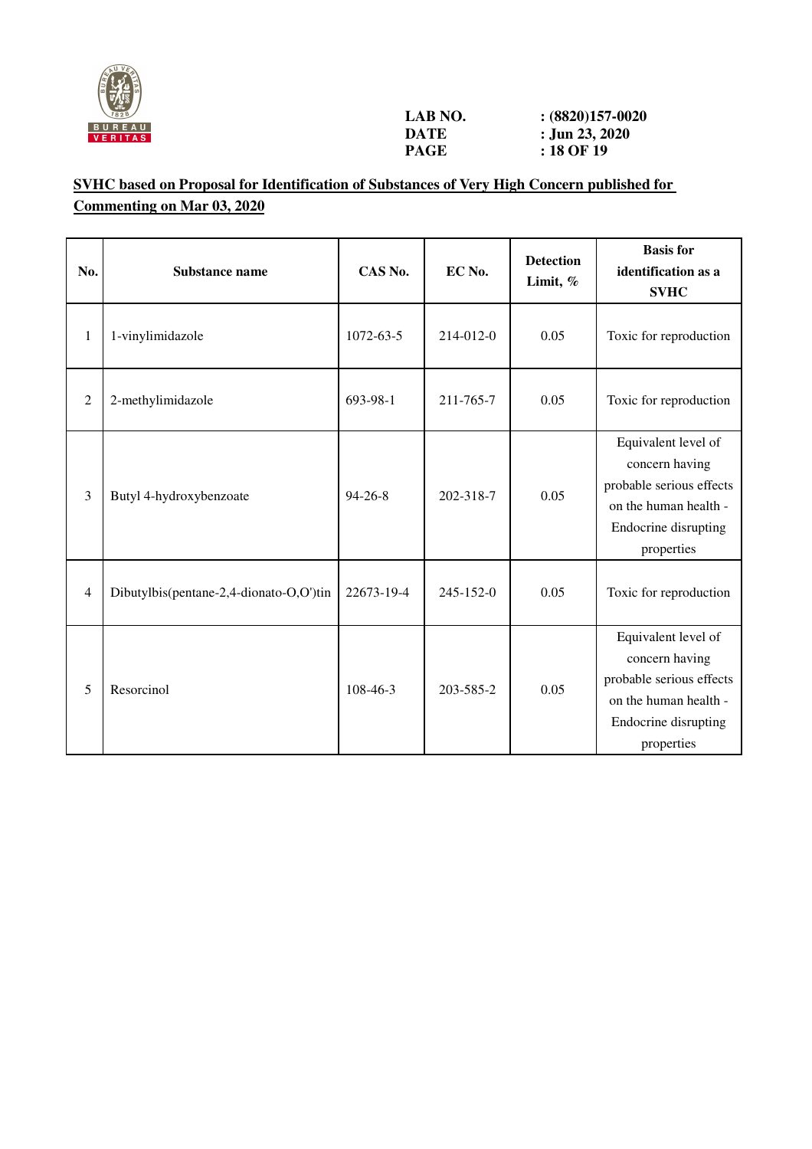

## **SVHC based on Proposal for Identification of Substances of Very High Concern published for Commenting on Mar 03, 2020**

| No.            | <b>Substance name</b>                   | CAS No.       | EC No.          | <b>Detection</b><br>Limit, % | <b>Basis</b> for<br>identification as a<br><b>SVHC</b>                                                                           |
|----------------|-----------------------------------------|---------------|-----------------|------------------------------|----------------------------------------------------------------------------------------------------------------------------------|
| 1              | 1-vinylimidazole                        | 1072-63-5     | 214-012-0       | 0.05                         | Toxic for reproduction                                                                                                           |
| $\overline{2}$ | 2-methylimidazole                       | 693-98-1      | 211-765-7       | 0.05                         | Toxic for reproduction                                                                                                           |
| 3              | Butyl 4-hydroxybenzoate                 | $94 - 26 - 8$ | 202-318-7       | 0.05                         | Equivalent level of<br>concern having<br>probable serious effects<br>on the human health -<br>Endocrine disrupting<br>properties |
| 4              | Dibutylbis(pentane-2,4-dionato-O,O')tin | 22673-19-4    | $245 - 152 - 0$ | 0.05                         | Toxic for reproduction                                                                                                           |
| 5              | Resorcinol                              | 108-46-3      | 203-585-2       | 0.05                         | Equivalent level of<br>concern having<br>probable serious effects<br>on the human health -<br>Endocrine disrupting<br>properties |